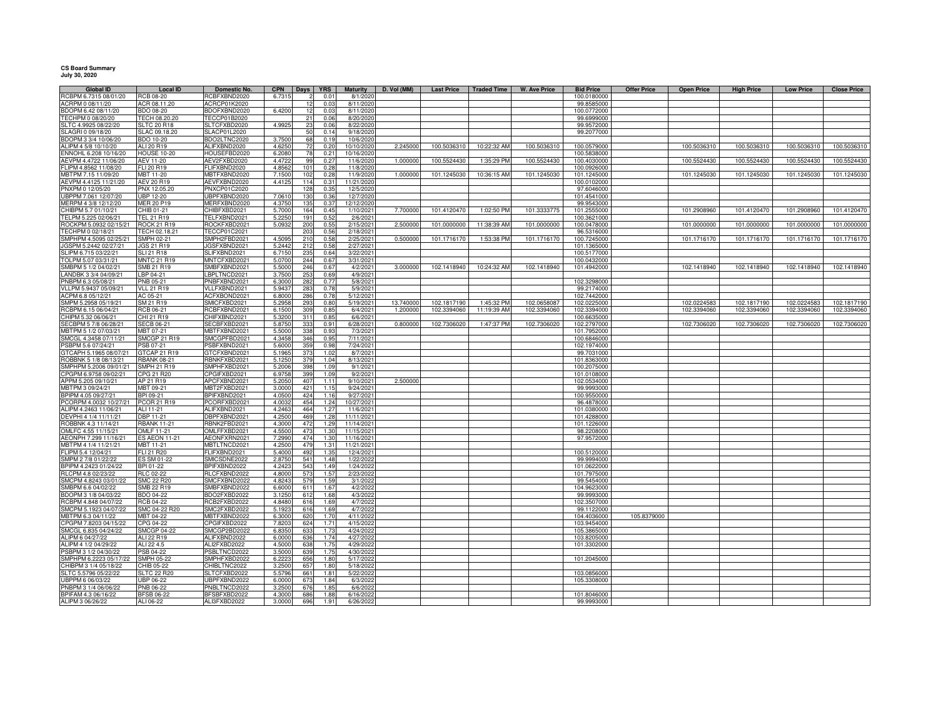## **CS Board Summary July 30, 2020**

| <b>Global ID</b>                           | <b>Local ID</b>                     | Domestic No.                 | <b>CPN</b>       | Days            | <b>YRS</b>   | <b>Maturity</b>         | D. Vol (MM) | <b>Last Price</b> | <b>Traded Time</b> | <b>W. Ave Price</b> | <b>Bid Price</b>           | <b>Offer Price</b> | <b>Open Price</b> | <b>High Price</b> | <b>Low Price</b> | <b>Close Price</b> |
|--------------------------------------------|-------------------------------------|------------------------------|------------------|-----------------|--------------|-------------------------|-------------|-------------------|--------------------|---------------------|----------------------------|--------------------|-------------------|-------------------|------------------|--------------------|
| RCBPM 6.7315 08/01/20                      | <b>CB 08-20</b>                     | RCBFXBND2020                 | 6.7315           |                 | 0.01         | 8/1/202                 |             |                   |                    |                     | 100.0180000                |                    |                   |                   |                  |                    |
| ACRPM 0 08/11/20<br>BDOPM 6.42 08/11/20    | ACR 08.11.20                        | ACRCP01K2020                 |                  | 12              | 0.03         | 8/11/2020               |             |                   |                    |                     | 99.8585000                 |                    |                   |                   |                  |                    |
|                                            | BDO 08-20                           | BDOFXBND2020                 | 6.4200           | 12              | 0.03         | 8/11/2020               |             |                   |                    |                     | 100.0772000                |                    |                   |                   |                  |                    |
| TECHPM 0 08/20/20<br>SLTC 4.9925 08/22/20  | TECH 08.20.20<br><b>SLTC 20 R18</b> | TECCP01B2020<br>SLTCFXBD2020 | 4.9925           | 21<br>23        | 0.06<br>0.06 | 8/20/2020<br>8/22/2020  |             |                   |                    |                     | 99.6999000<br>99.9572000   |                    |                   |                   |                  |                    |
| SLAGRI 0 09/18/20                          | SLAC 09.18.20                       | SLACP01L2020                 |                  | 50              | 0.14         | 9/18/2020               |             |                   |                    |                     | 99.2077000                 |                    |                   |                   |                  |                    |
| BDOPM 3 3/4 10/06/20                       | BDO 10-20                           | BDO2LTNC2020                 | 3.7500           | 68              | 0.19         | 10/6/202                |             |                   |                    |                     |                            |                    |                   |                   |                  |                    |
| ALIPM 4 5/8 10/10/20                       | ALI 20 R19                          | ALIFXBND2020                 | 4.625            | 72              | 0.20         | 10/10/202               | 2.245000    | 100.5036310       | 10:22:32 AM        | 100.5036310         | 100.0579000                |                    | 100.5036310       | 100.5036310       | 100.5036310      | 100.5036310        |
| ENNOHL 6.208 10/16/20                      | <b>HOUSE 10-20</b>                  | HOUSEFBD2020                 | 6.2080           |                 | 0.21         | 10/16/2020              |             |                   |                    |                     | 100.5838000                |                    |                   |                   |                  |                    |
| AEVPM 4.4722 11/06/20                      | AEV 11-20                           | AEV2FXBD2020                 | 4.4722           | 99              | 0.27         | 11/6/2020               | 1.000000    | 100.5524430       | 1:35:29 PM         | 100.5524430         | 100.4030000                |                    | 100.5524430       | 100.5524430       | 100.5524430      | 100.5524430        |
| FLIPM 4.8562 11/08/20                      | FLI 20 R19                          | FLIFXBND2020                 | 4.856            | 101             | 0.28         | 11/8/202                |             |                   |                    |                     | 100.0926000                |                    |                   |                   |                  |                    |
| MBTPM 7.15 11/09/20                        | MBT 11-20                           | MBTFXBND2020                 | 7.1500           | 102             | 0.28         | 11/9/2020               | 1.000000    | 101.1245030       | 10:36:15 AM        | 101.1245030         | 101.1245000                |                    | 101.1245030       | 101.1245030       | 101.1245030      | 101.1245030        |
| AEVPM 4.4125 11/21/20                      | <b>AEV 20 R19</b>                   | AEVFXBND2020                 | 4.412            | 11 <sup>4</sup> | 0.31         | 11/21/2020              |             |                   |                    |                     | 100.0102000                |                    |                   |                   |                  |                    |
| PNXPM 0 12/05/20                           | PNX 12.05.20                        | <b>PNXCP01C2020</b>          |                  | 128             | 0.35         | 12/5/2020               |             |                   |                    |                     | 97.6046000                 |                    |                   |                   |                  |                    |
| UBPPM 7.061 12/07/20                       | <b>UBP 12-20</b>                    | UBPFXBND2020                 | 7.061            | 130             | 0.36         | 12/7/2020               |             |                   |                    |                     | 101.4541000                |                    |                   |                   |                  |                    |
| MERPM 4 3/8 12/12/20                       | <b>MER 20 P19</b>                   | MERFXBND2020                 | 4.3750           | 135             | 0.37         | 12/12/2020              |             |                   |                    |                     | 99.9543000                 |                    |                   |                   |                  |                    |
| CHIBPM 5.7 01/10/21                        | CHIB 01-21                          | CHIBFXBD2021                 | 5,7000           | 164             | 0.45         | 1/10/2021               | 7.700000    | 101.4120470       | 1:02:50 PM         | 101.3333775         | 101.2555000                |                    | 101.2908960       | 101.4120470       | 101.2908960      | 101.4120470        |
| TELPM 5.225 02/06/21                       | <b>TEL 21 R19</b>                   | TELFXBND2021                 | 5.225            | 191             | 0.52         | 2/6/2021                |             |                   |                    |                     | 100.3621000                |                    |                   |                   |                  |                    |
| ROCKPM 5.0932 02/15/21                     | <b>ROCK 21 R19</b>                  | ROCKFXBD2021                 | 5.0932           | 200             | 0.55         | 2/15/2021               | 2.500000    | 101.0000000       | 11:38:39 AM        | 101.0000000         | 100.0478000                |                    | 101.0000000       | 101.0000000       | 101.0000000      | 101.0000000        |
| TECHPM 0 02/18/21                          | TECH 02.18.21                       | TECCP01C2021                 |                  | 203             | 0.56         | 2/18/2021               |             |                   |                    |                     | 96.5316000                 |                    |                   |                   |                  |                    |
| SMPHPM 4.5095 02/25/21                     | <b>SMPH 02-21</b>                   | SMPH2FBD2021                 | 4.509            | 210             | 0.58         | 2/25/2021               | 0.500000    | 101.1716170       | 1:53:38 PM         | 101.1716170         | 100.7245000                |                    | 101.1716170       | 101.1716170       | 101.1716170      | 101.1716170        |
| JGSPM 5.2442 02/27/21                      | JGS 21 R19                          | GSFXBND2021                  | 5.244            | 212             | 0.58         | 2/27/2021               |             |                   |                    |                     | 101.1365000                |                    |                   |                   |                  |                    |
| SLIPM 6.715 03/22/21                       | <b>GLI 21 R18</b>                   | SLIFXBND2021                 | 6.715            | 23              | 0.64         | 3/22/2021               |             |                   |                    |                     | 100.5177000                |                    |                   |                   |                  |                    |
| TOLPM 5.07 03/31/21                        | <b>MNTC 21 R19</b>                  | <b>MNTCFXBD2021</b>          | 5.070            | 244             | 0.67         | 3/31/2021               |             |                   |                    |                     | 100.0432000                |                    |                   |                   |                  |                    |
| SMBPM 5 1/2 04/02/21                       | SMB 21 R19                          | SMBFXBND2021                 | 5.500            | 246             | 0.67         | 4/2/2021                | 3.000000    | 102.1418940       | 10:24:32 AM        | 102.1418940         | 101.4942000                |                    | 102.1418940       | 102.1418940       | 102.1418940      | 102.1418940        |
| LANDBK 3 3/4 04/09/21                      | LBP 04-21                           | BPLTNCD2021                  | 3.7500           | 253             | 0.69         | 4/9/2021                |             |                   |                    |                     |                            |                    |                   |                   |                  |                    |
| PNBPM 6.3 05/08/21                         | PNB 05-21                           | PNBFXBND2021<br>VLLFXBND2021 | 6.300<br>5.943   | 282             | 0.77         | 5/8/2021                |             |                   |                    |                     | 102.3298000                |                    |                   |                   |                  |                    |
| VLLPM 5.9437 05/09/21<br>ACPM 6.8 05/12/21 | <b>VLL 21 R19</b>                   | ACFXBOND2021                 |                  | 283             | 0.78         | 5/9/2021                |             |                   |                    |                     | 99.2174000                 |                    |                   |                   |                  |                    |
| SMPM 5.2958 05/19/21                       | AC 05-21<br>SM 21 R19               | SMICFXBD2021                 | 6.8000<br>5.295  | 286<br>293      | 0.78<br>0.80 | 5/12/2021<br>5/19/2021  | 13.740000   | 102.1817190       | 1:45:32 PM         | 102.0658087         | 102.7442000<br>102.0225000 |                    | 102.0224583       | 102.1817190       | 102.0224583      | 102.1817190        |
| RCBPM 6.15 06/04/21                        | RCB 06-21                           | RCBFXBND2021                 | 6.1500           | 309             | 0.85         | 6/4/2021                | 1.200000    | 102.3394060       | 11:19:39 AM        | 102.3394060         | 102.3394000                |                    | 102.3394060       | 102.3394060       | 102.3394060      | 102.3394060        |
| CHIPM 5.32 06/06/21                        | CHI 21 R19                          | CHIFXBND2021                 | 5.320            | 311             | 0.85         | 6/6/2021                |             |                   |                    |                     | 100.6635000                |                    |                   |                   |                  |                    |
| SECBPM 5 7/8 06/28/21                      | <b>SECB 06-21</b>                   | SECBFXBD2021                 | 5.875            | 33              | 0.91         | 6/28/2021               | 0.800000    | 102.7306020       | 1:47:37 PM         | 102.7306020         | 102.2797000                |                    | 102.7306020       | 102.7306020       | 102.7306020      | 102.7306020        |
| MBTPM 5 1/2 07/03/21                       | MBT 07-21                           | MBTFXBND2021                 | 5.500            | 338             | 0.93         | 7/3/2021                |             |                   |                    |                     | 101.7952000                |                    |                   |                   |                  |                    |
| SMCGL 4.3458 07/11/21                      | <b>SMCGP 21 R19</b>                 | SMCGPFBD2021                 | 4.345            | 346             | 0.95         | 7/11/2021               |             |                   |                    |                     | 100.6846000                |                    |                   |                   |                  |                    |
| PSBPM 5.6 07/24/21                         | PSB 07-21                           | PSBFXBND2021                 | 5.600            | 359             | 0.98         | 7/24/2021               |             |                   |                    |                     | 102.1974000                |                    |                   |                   |                  |                    |
| GTCAPH 5.1965 08/07/21                     | GTCAP 21 R19                        | GTCFXBND2021                 | 5.196            | 373             | 1.02         | 8/7/2021                |             |                   |                    |                     | 99.7031000                 |                    |                   |                   |                  |                    |
| ROBBNK 5 1/8 08/13/21                      | <b>RBANK 08-21</b>                  | RBNKFXBD2021                 | 5.125            | 379             | 1.04         | 8/13/2021               |             |                   |                    |                     | 101.8363000                |                    |                   |                   |                  |                    |
| SMPHPM 5.2006 09/01/21                     | <b>SMPH 21 R19</b>                  | SMPHFXBD2021                 | 5.200            | 398             | 1.09         | 9/1/2021                |             |                   |                    |                     | 100.2075000                |                    |                   |                   |                  |                    |
| CPGPM 6.9758 09/02/21                      | CPG 21 R20                          | CPGIFXBD2021                 | 6.975            | 399             | 1.09         | 9/2/2021                |             |                   |                    |                     | 101.0108000                |                    |                   |                   |                  |                    |
| APPM 5.205 09/10/21                        | AP 21 R19                           | APCFXBND2021                 | 5.2050           | 407             | 1.11         | 9/10/2021               | 2.500000    |                   |                    |                     | 102.0534000                |                    |                   |                   |                  |                    |
| MBTPM 3 09/24/21                           | MBT 09-21                           | MBT2FXBD2021                 | 3.000            | 421             | 1.15         | 9/24/2021               |             |                   |                    |                     | 99.9993000                 |                    |                   |                   |                  |                    |
| BPIPM 4.05 09/27/21                        | 3PI 09-21                           | BPIFXBND2021                 | 4.0500           | 424             | 1.16         | 9/27/2021               |             |                   |                    |                     | 100.9550000                |                    |                   |                   |                  |                    |
| PCORPM 4.0032 10/27/21                     | <b>PCOR 21 R19</b>                  | PCORFXBD2021                 | 4.0032           | 454             | 1.24         | 10/27/2021              |             |                   |                    |                     | 96.4878000                 |                    |                   |                   |                  |                    |
| ALIPM 4.2463 11/06/21                      | ALI 11-21                           | ALIFXBND2021                 | 4.246            | 464             | 1.27         | 11/6/2021               |             |                   |                    |                     | 101.0380000                |                    |                   |                   |                  |                    |
| DEVPHI 4 1/4 11/11/21                      | DBP 11-21                           | DBPFXBND2021                 | 4.2500           | 469             | 1.28         | 11/11/2021              |             |                   |                    |                     | 101.4288000                |                    |                   |                   |                  |                    |
| ROBBNK 4.3 11/14/21                        | <b>RBANK 11-21</b>                  | RBNK2FBD2021                 | 4.3000           | 472             | 1.29         | 11/14/2021              |             |                   |                    |                     | 101.1226000                |                    |                   |                   |                  |                    |
| OMLFC 4.55 11/15/21                        | OMLF 11-21                          | OMLFFXBD2021                 | 4.5500           | 473             | 1.30         | 11/15/2021              |             |                   |                    |                     | 98.2208000                 |                    |                   |                   |                  |                    |
| AEONPH 7.299 11/16/21                      | <b>ES AEON 11-21</b>                | AEONFXRN2021                 | 7.2990           | 474             | 1.30         | 11/16/2021              |             |                   |                    |                     | 97.9572000                 |                    |                   |                   |                  |                    |
| MBTPM 4 1/4 11/21/21<br>FLIPM 5.4 12/04/21 | MBT 11-21<br>FLI 21 R20             | MBTLTNCD2021<br>FLIFXBND2021 | 4.2500           | 479<br>492      | 1.31         | 11/21/2021<br>12/4/2021 |             |                   |                    |                     | 100.5120000                |                    |                   |                   |                  |                    |
| SMPM 2 7/8 01/22/22                        | ES SM 01-22                         | SMICSDNE2022                 | 5.4000<br>2.875  | 541             | 1.35<br>1.48 | 1/22/2022               |             |                   |                    |                     | 99.9994000                 |                    |                   |                   |                  |                    |
| BPIPM 4.2423 01/24/22                      | BPI 01-22                           | BPIFXBND2022                 | 4.242            | 543             | 1.49         | 1/24/2022               |             |                   |                    |                     | 101.0622000                |                    |                   |                   |                  |                    |
| RLCPM 4.8 02/23/22                         | <b>RLC 02-22</b>                    | RLCFXBND2022                 | 4.800            | 573             | 1.57         | 2/23/2022               |             |                   |                    |                     | 101.7975000                |                    |                   |                   |                  |                    |
| SMCPM 4.8243 03/01/22                      | <b>SMC 22 R20</b>                   | SMCFXBND2022                 | 4.824            | 57              | 1.59         | 3/1/2022                |             |                   |                    |                     | 99.5454000                 |                    |                   |                   |                  |                    |
| SMBPM 6.6 04/02/22                         | SMB 22 R19                          | SMBFXBND2022                 | 6.600            | 611             | 1.67         | 4/2/2022                |             |                   |                    |                     | 104.9623000                |                    |                   |                   |                  |                    |
| BDOPM 3 1/8 04/03/22                       | <b>BDO 04-22</b>                    | BDO2FXBD2022                 | 3.125            | 61              | 1.68         | 4/3/2022                |             |                   |                    |                     | 99.9993000                 |                    |                   |                   |                  |                    |
| RCBPM 4.848 04/07/22                       | <b>RCB 04-22</b>                    | RCB2FXBD2022                 | 4.848            | 61              | 1.69         | 4/7/2022                |             |                   |                    |                     | 102.3507000                |                    |                   |                   |                  |                    |
| SMCPM 5.1923 04/07/22                      | SMC 04-22 R20                       | SMC2FXBD2022                 | 5.192            | 616             | 1.69         | 4/7/2022                |             |                   |                    |                     | 99.1122000                 |                    |                   |                   |                  |                    |
| MBTPM 6.3 04/11/22                         | MBT 04-22                           | MBTFXBND2022                 | 6.3000           | 620             | 1.70         | 4/11/2022               |             |                   |                    |                     | 104.4036000                | 105.8379000        |                   |                   |                  |                    |
| CPGPM 7.8203 04/15/22                      | CPG 04-22                           | CPGIFXBD2022                 | 7.820            | 624             | 1.71         | 4/15/2022               |             |                   |                    |                     | 103.9454000                |                    |                   |                   |                  |                    |
| SMCGL 6.835 04/24/22                       | <b>SMCGP 04-22</b>                  | SMCGP2BD2022                 | 6.835            | 633             | 1.73         | 4/24/202                |             |                   |                    |                     | 105.3865000                |                    |                   |                   |                  |                    |
| ALIPM 6 04/27/22                           | ALI 22 R19                          | ALIFXBND2022                 | 6,0000           | 636             | 1.74         | 4/27/202                |             |                   |                    |                     | 103.8205000                |                    |                   |                   |                  |                    |
| ALIPM 4 1/2 04/29/22                       | ALI 22 4.5                          | ALI2FXBD2022                 | 4.500            | 638             | 1.75         | 4/29/202                |             |                   |                    |                     | 101.3302000                |                    |                   |                   |                  |                    |
| PSBPM 3 1/2 04/30/22                       | PSB 04-22                           | PSBLTNCD2022                 | 3.500            | 639             | 1.75         | 4/30/2022               |             |                   |                    |                     |                            |                    |                   |                   |                  |                    |
| SMPHPM 6.2223 05/17/22                     | SMPH 05-22                          | SMPHFXBD2022                 | 6.222            | 656             | 1.80         | 5/17/2022               |             |                   |                    |                     | 101.2045000                |                    |                   |                   |                  |                    |
| CHIBPM 3 1/4 05/18/22                      | CHIB 05-22                          | CHIBLTNC2022                 | 3.250            | 657             | 1.80         | 5/18/2022               |             |                   |                    |                     |                            |                    |                   |                   |                  |                    |
| SLTC 5.5796 05/22/22                       | <b>SLTC 22 R20</b>                  | SLTCFXBD2022                 | 5.579            | 661             | 1.81         | 5/22/2022               |             |                   |                    |                     | 103.0856000                |                    |                   |                   |                  |                    |
| UBPPM 6 06/03/22                           | <b>UBP 06-22</b>                    | UBPFXBND2022                 | 6.000            | 673             | 1.84         | 6/3/2022                |             |                   |                    |                     | 105.3308000                |                    |                   |                   |                  |                    |
| PNBPM 3 1/4 06/06/22                       | PNB 06-22                           | PNBLTNCD2022                 | 3.2500           | 676<br>686      | 1.85         | 6/6/2022                |             |                   |                    |                     |                            |                    |                   |                   |                  |                    |
| BPIFAM 4.3 06/16/22                        | <b>BFSB 06-22</b>                   | BFSBFXBD2022                 | 4.3000<br>3.0000 | 696             | 1.88         | 6/16/2022               |             |                   |                    |                     | 101.8046000                |                    |                   |                   |                  |                    |
| ALIPM 3 06/26/22                           | ALI 06-22                           | ALI3FXBD2022                 |                  |                 | 1.91         | 6/26/2022               |             |                   |                    |                     | 99.9993000                 |                    |                   |                   |                  |                    |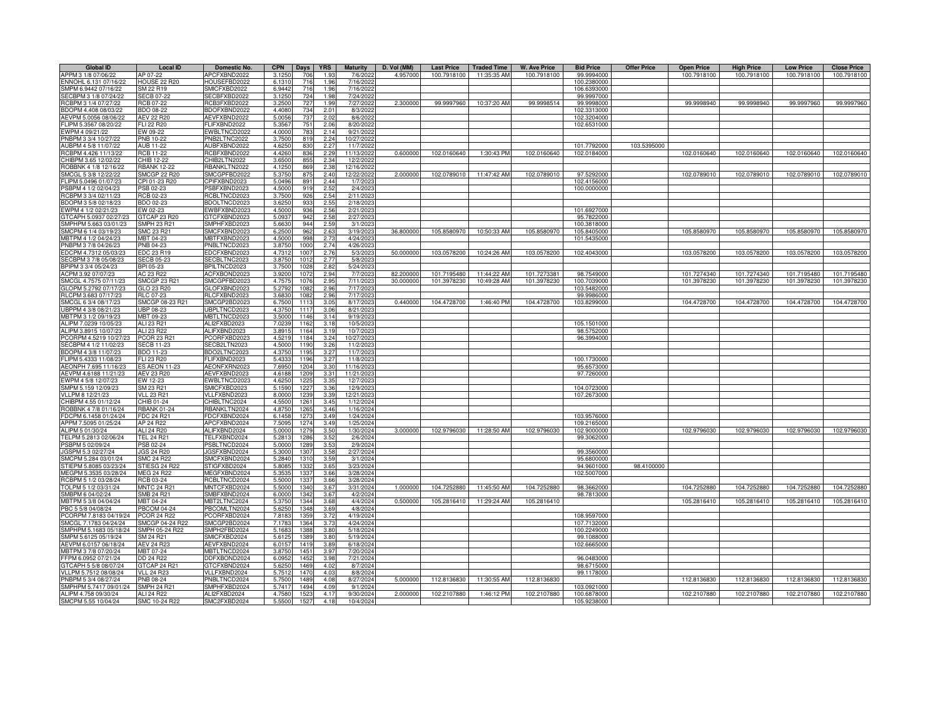| APPM 3 1/8 07/06/22<br>APCFXBND2022<br>3.125<br>4.957000<br>100.7918100<br>11:35:35 AM<br>100.7918100<br>99.9994000<br>100.7918100<br>100.7918100<br>100.7918100<br>100.7918100<br>AP 07-22<br>706<br>1.93<br>7/6/202<br>ENNOHL 6.131 07/16/22<br><b>HOUSE 22 R20</b><br>HOUSEFBD2022<br>6.131<br>716<br>1.96<br>7/16/2022<br>100.2380000<br>SMPM 6.9442 07/16/22<br>SMICFXBD2022<br>SM 22 R19<br>6.9442<br>716<br>1.96<br>7/16/2022<br>106.6393000<br>SECBPM 3 1/8 07/24/22<br><b>SECB 07-22</b><br>SECBFXBD2022<br>3.125<br>724<br>1.98<br>7/24/2022<br>99.9997000<br>RCB 07-22<br>RCB3FXBD2022<br>727<br>7/27/2022<br>2.300000<br>99.9998514<br>99.9998940<br>99.9997960<br>99.9997960<br>RCBPM 3 1/4 07/27/22<br>3.2500<br>1.99<br>99.9997960 10:37:20 AM<br>99.9998000<br>99.9998940<br>BDOPM 4.408 08/03/22<br><b>BDO 08-22</b><br>BDOFXBND2022<br>4.4080<br>2.01<br>8/3/2022<br>734<br>102.3313000<br>AEVPM 5.0056 08/06/22<br><b>AEV 22 R20</b><br>AEVFXBND2022<br>737<br>8/6/2022<br>5.0056<br>2.02<br>102.3204000<br>FLIPM 5.3567 08/20/22<br>ELI 22 R20<br><b>ELIFXBND2022</b><br>5.3567<br>8/20/2022<br>2.06<br>102.6531000<br>751<br>EWPM 4 09/21/22<br>EW 09-22<br>EWBLTNCD2022<br>4.0000<br>783<br>2.14<br>9/21/2022<br>PNBPM 3 3/4 10/27/22<br>PNB 10-22<br>PNB2LTNC2022<br>3.7500<br>819<br>2.24<br>10/27/2022<br><b>AUB 11-22</b><br>AUBFXBND2022<br>4.6250<br>11/7/2022<br>AUBPM 4 5/8 11/07/22<br>830<br>2.27<br>101.7792000<br>103.5395000<br>RCBPM 4.426 11/13/22<br><b>RCB 11-22</b><br><b>CBFXBND2022</b><br>4.4260<br>0.600000<br>102.0160640<br>1:30:43 PM<br>102.0160640<br>102.0184000<br>102.0160640<br>102.0160640<br>102.0160640<br>102.0160640<br>836<br>2.29<br>11/13/2022<br>CHIBPM 3.65 12/02/22<br>CHIB 12-22<br>CHIB2LTN2022<br>3.6500<br>855<br>12/2/2022<br>2.34<br>ROBBNK 4 1/8 12/16/22<br><b>RBANK 12-22</b><br><b>BANKLTN2022</b><br>4.1250<br>869<br>12/16/202<br>2.38<br>SMCGP 22 R20<br>SMCGPFBD2022<br>2.00000<br>102.0789010<br>102.0789010<br>97.5292000<br>102.0789010<br>102.0789010<br>102.0789010<br>102.0789010<br>SMCGL 5 3/8 12/22/22<br>5.375<br>875<br>2.40<br>12/22/202<br>11:47:42 AM<br>CPI 01-23 R20<br>PIFXBND2023<br>5.0496<br>FLIPM 5.0496 01/07/23<br>891<br>2.44<br>1/7/202<br>102.4156000<br>100.0000000<br>2.52<br>2/4/2023<br>PSBPM 4 1/2 02/04/23<br>PSB 02-23<br>PSBFXBND2023<br>4.5000<br>919<br>RCB 02-23<br>RCBLTNCD2023<br>2.54<br>2/11/2023<br>RCBPM 3 3/4 02/11/23<br>3.7500<br>926<br>2.55<br>BDOPM 3 5/8 02/18/23<br>BDO 02-23<br>BDOLTNCD2023<br>3.6250<br>933<br>2/18/2023<br>2.56<br>EWPM 4 1/2 02/21/23<br>EW 02-23<br>EWBFXBND2023<br>4.500<br>936<br>2/21/2023<br>101.6927000<br>GTCAP 23 R20<br>GTCAPH 5.0937 02/27/23<br>GTCFXBND2023<br>5.093<br>942<br>2.58<br>2/27/202<br>95.7822000<br><b>SMPH 23 R21</b><br>SMPHFXBD2023<br>2.59<br>3/1/202<br>SMPHPM 5.663 03/01/23<br>5.663<br>944<br>100.3818000<br>SMC 23 R21<br>SMCFXBND2023<br>105.8580970<br>10:50:33 AM<br>105.8580970<br>105.8580970<br>105.8580970<br>105.8580970<br>105.8580970<br>SMCPM 6 1/4 03/19/23<br>6.250<br>962<br>2.63<br>3/19/2023<br>36,800000<br>105.8405000<br>MBTPM 4 1/2 04/24/23<br>MBT 04-23<br>MBTFXBND2023<br>4.500<br>998<br>2.73<br>4/24/2023<br>101.5435000<br>PNBPM 3 7/8 04/26/23<br><b>PNB 04-23</b><br>PNBLTNCD2023<br>3.875<br>1000<br>2.74<br>4/26/2023<br>EDCPM 4.7312 05/03/23<br>EDC 23 R19<br>EDCFXBND2023<br>4.731<br>2.76<br>5/3/2023<br>50,000000<br>103.0578200<br>10:24:26 AM<br>103.0578200<br>102.4043000<br>103.0578200<br>103.0578200<br>103.0578200<br>103.0578200<br>100<br>SECBPM 3 7/8 05/08/23<br><b>SECB 05-23</b><br>SECBLTNC2023<br>3.875<br>101<br>2.77<br>5/8/202<br>BPIPM 3 3/4 05/24/23<br>BPI 05-23<br>3PILTNCD2023<br>3.750<br>102<br>2.82<br>5/24/2023<br>ACPM 3.92 07/07/23<br>ACFXBOND2023<br>2.94<br>7/7/2023<br>AC 23 R22<br>82.20000<br>101.7195480<br>11:44:22 AM<br>98.7549000<br>101.7274340<br>101.7274340<br>101.7195480<br>101.7195480<br>3.920<br>107<br>101.7273381<br>SMCGL 4.7575 07/11/23<br>SMCGPFBD2023<br>2.95<br>7/11/2023<br>30.000000<br><b>SMCGP 23 R21</b><br>4.757<br>101.3978230<br>10:49:28 AM<br>101.3978230<br>100.7039000<br>101.3978230<br>101.3978230<br>101.3978230<br>101.3978230<br>1076<br>GLOFXBND2023<br>2.96<br>7/17/2023<br>GLOPM 5.2792 07/17/23<br>GLO 23 R20<br>103.5482000<br>5.279<br>108<br>RLCPM 3.683 07/17/23<br>RLCFXBND2023<br>2.96<br>RLC 07-23<br>3.683<br>7/17/2023<br>108<br>99.9986000<br>SMCGL 6 3/4 08/17/23<br>SMCGP 08-23 R21<br>SMCGP2BD2023<br>6.750<br>3.05<br>8/17/2023<br>0.440000<br>104.4728700<br>1:46:40 PM<br>104.4728700<br>103.8299000<br>104.4728700<br>104.4728700<br>104.4728700<br>104.4728700<br>111:<br>UBPPM 4 3/8 08/21/23<br>JBP 08-23<br>JBPLTNCD2023<br>4.375<br>1117<br>3.06<br>8/21/2023<br>MBTPM 3 1/2 09/19/23<br>MBT 09-23<br><b>MBTLTNCD2023</b><br>3.5000<br>1146<br>3.14<br>9/19/2023<br>ALIPM 7.0239 10/05/23<br>ALI2FXBD2023<br>ALI 23 R21<br>7.023<br>1162<br>3.18<br>10/5/2023<br>105.1501000<br>ALIPM 3.8915 10/07/23<br>ALI 23 R22<br>ALIFXBND2023<br>3.891<br>10/7/2023<br>1164<br>3.19<br>98.5752000<br>PCORPM 4.5219 10/27/23<br><b>COR 23 R21</b><br>CORFXBD2023<br>4.521<br>3.24<br>10/27/202<br>96.3994000<br>1184<br>SECBPM 4 1/2 11/02/23<br><b>ECB 11-23</b><br>ECB2LTN2023<br>4.500<br>3.26<br>11/2/202<br>119<br>4.375<br>BDOPM 4 3/8 11/07/23<br>BDO 11-23<br>BDO2LTNC2023<br>119<br>3.27<br>11/7/202<br>FLIFXBND2023<br>5.433<br>3.27<br>11/8/2023<br>FLIPM 5.4333 11/08/23<br>FLI 23 R20<br>119<br>100.1730000<br>7.695<br><b>ES AEON 11-23</b><br>AEONFXRN2023<br>3.30<br>11/16/202<br>95.6573000<br>AEONPH 7.695 11/16/23<br>1204<br>AEVFXBND2023<br>3.31<br>97.7260000<br>AEVPM 4.6188 11/21/23<br><b>AEV 23 R20</b><br>4.618<br>1209<br>11/21/2023<br>EWBLTNCD2023<br>4.625<br>1225<br>3.35<br>12/7/2023<br>EWPM 4 5/8 12/07/23<br>EW 12-23<br>SMPM 5.159 12/09/23<br>SM 23 R21<br>SMICFXBD2023<br>5.159<br>122<br>3.36<br>12/9/2023<br>104.0723000<br>VLLPM 8 12/21/23<br><b>VLL 23 R21</b><br>VLLFXBND2023<br>8,000<br>123<br>3.39<br>12/21/2023<br>107.2673000<br>CHIBPM 4.55 01/12/24<br>CHIB 01-24<br>CHIBLTNC2024<br>4.550<br>1261<br>3.45<br>1/12/2024<br>RBANKLTN2024<br>3.46<br>ROBBNK 4 7/8 01/16/24<br><b>RBANK 01-24</b><br>4.875<br>126<br>1/16/2024<br>FDCPM 6.1458 01/24/24<br><b>FDC 24 R21</b><br>FDCFXBND2024<br>6.145<br>127<br>3.49<br>1/24/2024<br>103.9576000<br>APPM 7.5095 01/25/24<br>AP 24 R22<br>APCFXBND2024<br>7.509<br>127<br>3.49<br>1/25/2024<br>109.2165000<br>3.000000<br>ALIPM 5 01/30/24<br>ALI 24 R20<br>ALIFXBND2024<br>5.000<br>127<br>3.50<br>1/30/2024<br>102.9796030<br>11:28:50 AM<br>102.9796030<br>102.9000000<br>102.9796030<br>102.9796030<br>102.9796030<br>102.9796030<br>TELPM 5.2813 02/06/24<br>TEL 24 R21<br>TELFXBND2024<br>5.281<br>128<br>3.52<br>2/6/2024<br>99.3062000<br>PSBPM 5 02/09/24<br>PSB 02-24<br>PSBLTNCD2024<br>5.000<br>3.53<br>2/9/2024<br>128<br>JGSPM 5.3 02/27/24<br><b>JGS 24 R20</b><br>JGSFXBND2024<br>5.3000<br>1307<br>3.58<br>2/27/2024<br>99.3560000<br>SMCFXBND2024<br>SMCPM 5.284 03/01/24<br><b>SMC 24 R22</b><br>5.284<br>131<br>3.59<br>3/1/2024<br>95.6800000<br>STIGFXBD2024<br>STIEPM 5.8085 03/23/24<br>STIESG 24 R22<br>5.808<br>3.65<br>3/23/2024<br>98.4100000<br>1332<br>94.9601000<br>MEGPM 5.3535 03/28/24<br>MEG 24 R22<br><b>MEGFXBND2024</b><br>5.353<br>1337<br>3.66<br>3/28/2024<br>102.5007000<br>RCBPM 5 1/2 03/28/24<br>RCB 03-24<br><b>RCBLTNCD2024</b><br>5.500<br>3.66<br>3/28/2024<br>1337<br>MNTCFXBD2024<br>1.000000<br>104.7252880<br>11:45:50 AM<br>104.7252880<br>104.7252880<br>104.7252880<br>104.7252880<br>104.7252880<br>TOLPM 5 1/2 03/31/24<br><b>MNTC 24 R21</b><br>5,5000<br>1340<br>3.67<br>3/31/2024<br>98.3662000<br>SMB 24 R21<br>SMBFXBND2024<br>6,0000<br>4/2/2024<br>98.7813000<br>SMBPM 6 04/02/24<br>1342<br>3.67<br>MBTPM 5 3/8 04/04/24<br>MBT 04-24<br>MBT2LTNC2024<br>5.3750<br>1344<br>4/4/2024<br>0.500000<br>105.2816410<br>11:29:24 AM<br>105.2816410<br>105.2816410<br>105.2816410<br>105.2816410<br>105.2816410<br>3.68<br>PBC 5 5/8 04/08/24<br><b>PBCOM 04-24</b><br><b>BCOMLTN2024</b><br>5.6250<br>3.69<br>4/8/2024<br>1348<br>PCORPM 7.8183 04/19/24<br><b>PCOR 24 R22</b><br>CORFXBD2024<br>7.818<br>3.72<br>4/19/2024<br>108.9597000<br>135<br>SMCGP 04-24 R22<br>SMCGP2BD2024<br>107.7132000<br>SMCGL 7.1783 04/24/24<br>7.178<br>1364<br>3.73<br>4/24/2024<br>SMPH 05-24 R22<br>SMPH2FBD2024<br>5/18/2024<br>SMPHPM 5.1683 05/18/24<br>5.168<br>1388<br>3.80<br>100.2249000<br>SMPM 5.6125 05/19/24<br>SM 24 R21<br>SMICFXBD2024<br>5.612<br>3.80<br>5/19/2024<br>1389<br>99.1088000<br>3.89<br>6/18/2024<br>AEVPM 6.0157 06/18/24<br><b>AEV 24 R23</b><br>AEVFXBND2024<br>6.015<br>1419<br>102.6665000<br>MBTPM 3 7/8 07/20/24<br>MBT 07-24<br>MBTLTNCD2024<br>1451<br>3.97<br>7/20/2024<br>3.875<br>DDFXBOND2024<br>3.98<br>7/21/2024<br>96.0483000<br>FFPM 6.0952 07/21/24<br>DD 24 R22<br>6.095<br>1452<br>GTCAPH 5 5/8 08/07/24<br>GTCAP 24 R21<br>GTCFXBND2024<br>5.625<br>146<br>4.02<br>8/7/2024<br>98.6715000<br>VLLPM 5.7512 08/08/24<br><b>VLL 24 R23</b><br>VLLFXBND2024<br>5.751<br>147<br>4.03<br>8/8/2024<br>99.1178000<br>PNBLTNCD2024<br>5.750<br>8/27/2024<br>5.00000<br>11:30:55 AN<br>112.8136830<br>PNBPM 5 3/4 08/27/24<br><b>PNB 08-24</b><br>148<br>4.08<br>112.8136830<br>112.8136830<br>112.8136830<br>112.8136830<br>112.8136830<br>SMPHPM 5.7417 09/01/24<br><b>SMPH 24 R21</b><br>SMPHFXBD2024<br>9/1/2024<br>5.741<br>149<br>4.09<br>103.0921000<br>ALIPM 4.758 09/30/24<br>ALI 24 R22<br>ALI2FXBD2024<br>4.758<br>152<br>4.17<br>9/30/2024<br>2.00000<br>102.2107880<br>1:46:12 PM<br>102.2107880<br>100.6878000<br>102.2107880<br>102.2107880<br>102.2107880<br>102.2107880<br>SMCPM 5.55 10/04/24<br>SMC 10-24 R22<br>SMC2FXBD2024<br>5.550<br>10/4/2024<br>105.9238000<br>4.18 | <b>Global ID</b> | <b>Local ID</b> | <b>Domestic No.</b> | <b>CPN</b> | <b>Days</b> | <b>YRS</b> | <b>Maturity</b> | D. Vol (MM) | <b>Last Price</b> | <b>Traded Time</b> | W. Ave Price | <b>Bid Price</b> | <b>Offer Price</b> | <b>Open Price</b> | <b>High Price</b> | <b>Low Price</b> | <b>Close Price</b> |
|-----------------------------------------------------------------------------------------------------------------------------------------------------------------------------------------------------------------------------------------------------------------------------------------------------------------------------------------------------------------------------------------------------------------------------------------------------------------------------------------------------------------------------------------------------------------------------------------------------------------------------------------------------------------------------------------------------------------------------------------------------------------------------------------------------------------------------------------------------------------------------------------------------------------------------------------------------------------------------------------------------------------------------------------------------------------------------------------------------------------------------------------------------------------------------------------------------------------------------------------------------------------------------------------------------------------------------------------------------------------------------------------------------------------------------------------------------------------------------------------------------------------------------------------------------------------------------------------------------------------------------------------------------------------------------------------------------------------------------------------------------------------------------------------------------------------------------------------------------------------------------------------------------------------------------------------------------------------------------------------------------------------------------------------------------------------------------------------------------------------------------------------------------------------------------------------------------------------------------------------------------------------------------------------------------------------------------------------------------------------------------------------------------------------------------------------------------------------------------------------------------------------------------------------------------------------------------------------------------------------------------------------------------------------------------------------------------------------------------------------------------------------------------------------------------------------------------------------------------------------------------------------------------------------------------------------------------------------------------------------------------------------------------------------------------------------------------------------------------------------------------------------------------------------------------------------------------------------------------------------------------------------------------------------------------------------------------------------------------------------------------------------------------------------------------------------------------------------------------------------------------------------------------------------------------------------------------------------------------------------------------------------------------------------------------------------------------------------------------------------------------------------------------------------------------------------------------------------------------------------------------------------------------------------------------------------------------------------------------------------------------------------------------------------------------------------------------------------------------------------------------------------------------------------------------------------------------------------------------------------------------------------------------------------------------------------------------------------------------------------------------------------------------------------------------------------------------------------------------------------------------------------------------------------------------------------------------------------------------------------------------------------------------------------------------------------------------------------------------------------------------------------------------------------------------------------------------------------------------------------------------------------------------------------------------------------------------------------------------------------------------------------------------------------------------------------------------------------------------------------------------------------------------------------------------------------------------------------------------------------------------------------------------------------------------------------------------------------------------------------------------------------------------------------------------------------------------------------------------------------------------------------------------------------------------------------------------------------------------------------------------------------------------------------------------------------------------------------------------------------------------------------------------------------------------------------------------------------------------------------------------------------------------------------------------------------------------------------------------------------------------------------------------------------------------------------------------------------------------------------------------------------------------------------------------------------------------------------------------------------------------------------------------------------------------------------------------------------------------------------------------------------------------------------------------------------------------------------------------------------------------------------------------------------------------------------------------------------------------------------------------------------------------------------------------------------------------------------------------------------------------------------------------------------------------------------------------------------------------------------------------------------------------------------------------------------------------------------------------------------------------------------------------------------------------------------------------------------------------------------------------------------------------------------------------------------------------------------------------------------------------------------------------------------------------------------------------------------------------------------------------------------------------------------------------------------------------------------------------------------------------------------------------------------------------------------------------------------------------------------------------------------------------------------------------------------------------------------------------------------------------------------------------------------------------------------------------------------------------------------------------------------------------------------------------------------------------------------------------------------------------------------------------------------------------------------------------------------------------------------------------------------------------------------------------------------------------------------------------------------------------------------------------------------------------------------------------------------------------------------------------------------------------------------------------------------------------------------------------------------------------------------------------------------------------------------------------------------------------------------------------------------------------------------------------------------------------------------------------------------------------------------------------------------------------------------------------------------------------------------------------------------------------------------------------------------------------------------------------------------------------------------------------------------------------------------------------------------------------------------------------------------------------------------------------------------------------------------------------------------------------------------------------------------------------------------------------------------------------------------------------------------------------------------------------------------------------------------------------------------------------------------------------------------------------------------------------------------------------------------------------------------------------------------------------------------------------------------------------------------------------------------------------------------------------------------------------------------------------------------------------------------------------------|------------------|-----------------|---------------------|------------|-------------|------------|-----------------|-------------|-------------------|--------------------|--------------|------------------|--------------------|-------------------|-------------------|------------------|--------------------|
|                                                                                                                                                                                                                                                                                                                                                                                                                                                                                                                                                                                                                                                                                                                                                                                                                                                                                                                                                                                                                                                                                                                                                                                                                                                                                                                                                                                                                                                                                                                                                                                                                                                                                                                                                                                                                                                                                                                                                                                                                                                                                                                                                                                                                                                                                                                                                                                                                                                                                                                                                                                                                                                                                                                                                                                                                                                                                                                                                                                                                                                                                                                                                                                                                                                                                                                                                                                                                                                                                                                                                                                                                                                                                                                                                                                                                                                                                                                                                                                                                                                                                                                                                                                                                                                                                                                                                                                                                                                                                                                                                                                                                                                                                                                                                                                                                                                                                                                                                                                                                                                                                                                                                                                                                                                                                                                                                                                                                                                                                                                                                                                                                                                                                                                                                                                                                                                                                                                                                                                                                                                                                                                                                                                                                                                                                                                                                                                                                                                                                                                                                                                                                                                                                                                                                                                                                                                                                                                                                                                                                                                                                                                                                                                                                                                                                                                                                                                                                                                                                                                                                                                                                                                                                                                                                                                                                                                                                                                                                                                                                                                                                                                                                                                                                                                                                                                                                                                                                                                                                                                                                                                                                                                                                                                                                                                                                                                                                                                                                                                                                                                                                                                                                                                                                                                                                                                                                                                                                                                                                                                                                                                                                                                                                                                                                                                                                                                                                                           |                  |                 |                     |            |             |            |                 |             |                   |                    |              |                  |                    |                   |                   |                  |                    |
|                                                                                                                                                                                                                                                                                                                                                                                                                                                                                                                                                                                                                                                                                                                                                                                                                                                                                                                                                                                                                                                                                                                                                                                                                                                                                                                                                                                                                                                                                                                                                                                                                                                                                                                                                                                                                                                                                                                                                                                                                                                                                                                                                                                                                                                                                                                                                                                                                                                                                                                                                                                                                                                                                                                                                                                                                                                                                                                                                                                                                                                                                                                                                                                                                                                                                                                                                                                                                                                                                                                                                                                                                                                                                                                                                                                                                                                                                                                                                                                                                                                                                                                                                                                                                                                                                                                                                                                                                                                                                                                                                                                                                                                                                                                                                                                                                                                                                                                                                                                                                                                                                                                                                                                                                                                                                                                                                                                                                                                                                                                                                                                                                                                                                                                                                                                                                                                                                                                                                                                                                                                                                                                                                                                                                                                                                                                                                                                                                                                                                                                                                                                                                                                                                                                                                                                                                                                                                                                                                                                                                                                                                                                                                                                                                                                                                                                                                                                                                                                                                                                                                                                                                                                                                                                                                                                                                                                                                                                                                                                                                                                                                                                                                                                                                                                                                                                                                                                                                                                                                                                                                                                                                                                                                                                                                                                                                                                                                                                                                                                                                                                                                                                                                                                                                                                                                                                                                                                                                                                                                                                                                                                                                                                                                                                                                                                                                                                                                                           |                  |                 |                     |            |             |            |                 |             |                   |                    |              |                  |                    |                   |                   |                  |                    |
|                                                                                                                                                                                                                                                                                                                                                                                                                                                                                                                                                                                                                                                                                                                                                                                                                                                                                                                                                                                                                                                                                                                                                                                                                                                                                                                                                                                                                                                                                                                                                                                                                                                                                                                                                                                                                                                                                                                                                                                                                                                                                                                                                                                                                                                                                                                                                                                                                                                                                                                                                                                                                                                                                                                                                                                                                                                                                                                                                                                                                                                                                                                                                                                                                                                                                                                                                                                                                                                                                                                                                                                                                                                                                                                                                                                                                                                                                                                                                                                                                                                                                                                                                                                                                                                                                                                                                                                                                                                                                                                                                                                                                                                                                                                                                                                                                                                                                                                                                                                                                                                                                                                                                                                                                                                                                                                                                                                                                                                                                                                                                                                                                                                                                                                                                                                                                                                                                                                                                                                                                                                                                                                                                                                                                                                                                                                                                                                                                                                                                                                                                                                                                                                                                                                                                                                                                                                                                                                                                                                                                                                                                                                                                                                                                                                                                                                                                                                                                                                                                                                                                                                                                                                                                                                                                                                                                                                                                                                                                                                                                                                                                                                                                                                                                                                                                                                                                                                                                                                                                                                                                                                                                                                                                                                                                                                                                                                                                                                                                                                                                                                                                                                                                                                                                                                                                                                                                                                                                                                                                                                                                                                                                                                                                                                                                                                                                                                                                                           |                  |                 |                     |            |             |            |                 |             |                   |                    |              |                  |                    |                   |                   |                  |                    |
|                                                                                                                                                                                                                                                                                                                                                                                                                                                                                                                                                                                                                                                                                                                                                                                                                                                                                                                                                                                                                                                                                                                                                                                                                                                                                                                                                                                                                                                                                                                                                                                                                                                                                                                                                                                                                                                                                                                                                                                                                                                                                                                                                                                                                                                                                                                                                                                                                                                                                                                                                                                                                                                                                                                                                                                                                                                                                                                                                                                                                                                                                                                                                                                                                                                                                                                                                                                                                                                                                                                                                                                                                                                                                                                                                                                                                                                                                                                                                                                                                                                                                                                                                                                                                                                                                                                                                                                                                                                                                                                                                                                                                                                                                                                                                                                                                                                                                                                                                                                                                                                                                                                                                                                                                                                                                                                                                                                                                                                                                                                                                                                                                                                                                                                                                                                                                                                                                                                                                                                                                                                                                                                                                                                                                                                                                                                                                                                                                                                                                                                                                                                                                                                                                                                                                                                                                                                                                                                                                                                                                                                                                                                                                                                                                                                                                                                                                                                                                                                                                                                                                                                                                                                                                                                                                                                                                                                                                                                                                                                                                                                                                                                                                                                                                                                                                                                                                                                                                                                                                                                                                                                                                                                                                                                                                                                                                                                                                                                                                                                                                                                                                                                                                                                                                                                                                                                                                                                                                                                                                                                                                                                                                                                                                                                                                                                                                                                                                                           |                  |                 |                     |            |             |            |                 |             |                   |                    |              |                  |                    |                   |                   |                  |                    |
|                                                                                                                                                                                                                                                                                                                                                                                                                                                                                                                                                                                                                                                                                                                                                                                                                                                                                                                                                                                                                                                                                                                                                                                                                                                                                                                                                                                                                                                                                                                                                                                                                                                                                                                                                                                                                                                                                                                                                                                                                                                                                                                                                                                                                                                                                                                                                                                                                                                                                                                                                                                                                                                                                                                                                                                                                                                                                                                                                                                                                                                                                                                                                                                                                                                                                                                                                                                                                                                                                                                                                                                                                                                                                                                                                                                                                                                                                                                                                                                                                                                                                                                                                                                                                                                                                                                                                                                                                                                                                                                                                                                                                                                                                                                                                                                                                                                                                                                                                                                                                                                                                                                                                                                                                                                                                                                                                                                                                                                                                                                                                                                                                                                                                                                                                                                                                                                                                                                                                                                                                                                                                                                                                                                                                                                                                                                                                                                                                                                                                                                                                                                                                                                                                                                                                                                                                                                                                                                                                                                                                                                                                                                                                                                                                                                                                                                                                                                                                                                                                                                                                                                                                                                                                                                                                                                                                                                                                                                                                                                                                                                                                                                                                                                                                                                                                                                                                                                                                                                                                                                                                                                                                                                                                                                                                                                                                                                                                                                                                                                                                                                                                                                                                                                                                                                                                                                                                                                                                                                                                                                                                                                                                                                                                                                                                                                                                                                                                                           |                  |                 |                     |            |             |            |                 |             |                   |                    |              |                  |                    |                   |                   |                  |                    |
|                                                                                                                                                                                                                                                                                                                                                                                                                                                                                                                                                                                                                                                                                                                                                                                                                                                                                                                                                                                                                                                                                                                                                                                                                                                                                                                                                                                                                                                                                                                                                                                                                                                                                                                                                                                                                                                                                                                                                                                                                                                                                                                                                                                                                                                                                                                                                                                                                                                                                                                                                                                                                                                                                                                                                                                                                                                                                                                                                                                                                                                                                                                                                                                                                                                                                                                                                                                                                                                                                                                                                                                                                                                                                                                                                                                                                                                                                                                                                                                                                                                                                                                                                                                                                                                                                                                                                                                                                                                                                                                                                                                                                                                                                                                                                                                                                                                                                                                                                                                                                                                                                                                                                                                                                                                                                                                                                                                                                                                                                                                                                                                                                                                                                                                                                                                                                                                                                                                                                                                                                                                                                                                                                                                                                                                                                                                                                                                                                                                                                                                                                                                                                                                                                                                                                                                                                                                                                                                                                                                                                                                                                                                                                                                                                                                                                                                                                                                                                                                                                                                                                                                                                                                                                                                                                                                                                                                                                                                                                                                                                                                                                                                                                                                                                                                                                                                                                                                                                                                                                                                                                                                                                                                                                                                                                                                                                                                                                                                                                                                                                                                                                                                                                                                                                                                                                                                                                                                                                                                                                                                                                                                                                                                                                                                                                                                                                                                                                                           |                  |                 |                     |            |             |            |                 |             |                   |                    |              |                  |                    |                   |                   |                  |                    |
|                                                                                                                                                                                                                                                                                                                                                                                                                                                                                                                                                                                                                                                                                                                                                                                                                                                                                                                                                                                                                                                                                                                                                                                                                                                                                                                                                                                                                                                                                                                                                                                                                                                                                                                                                                                                                                                                                                                                                                                                                                                                                                                                                                                                                                                                                                                                                                                                                                                                                                                                                                                                                                                                                                                                                                                                                                                                                                                                                                                                                                                                                                                                                                                                                                                                                                                                                                                                                                                                                                                                                                                                                                                                                                                                                                                                                                                                                                                                                                                                                                                                                                                                                                                                                                                                                                                                                                                                                                                                                                                                                                                                                                                                                                                                                                                                                                                                                                                                                                                                                                                                                                                                                                                                                                                                                                                                                                                                                                                                                                                                                                                                                                                                                                                                                                                                                                                                                                                                                                                                                                                                                                                                                                                                                                                                                                                                                                                                                                                                                                                                                                                                                                                                                                                                                                                                                                                                                                                                                                                                                                                                                                                                                                                                                                                                                                                                                                                                                                                                                                                                                                                                                                                                                                                                                                                                                                                                                                                                                                                                                                                                                                                                                                                                                                                                                                                                                                                                                                                                                                                                                                                                                                                                                                                                                                                                                                                                                                                                                                                                                                                                                                                                                                                                                                                                                                                                                                                                                                                                                                                                                                                                                                                                                                                                                                                                                                                                                                           |                  |                 |                     |            |             |            |                 |             |                   |                    |              |                  |                    |                   |                   |                  |                    |
|                                                                                                                                                                                                                                                                                                                                                                                                                                                                                                                                                                                                                                                                                                                                                                                                                                                                                                                                                                                                                                                                                                                                                                                                                                                                                                                                                                                                                                                                                                                                                                                                                                                                                                                                                                                                                                                                                                                                                                                                                                                                                                                                                                                                                                                                                                                                                                                                                                                                                                                                                                                                                                                                                                                                                                                                                                                                                                                                                                                                                                                                                                                                                                                                                                                                                                                                                                                                                                                                                                                                                                                                                                                                                                                                                                                                                                                                                                                                                                                                                                                                                                                                                                                                                                                                                                                                                                                                                                                                                                                                                                                                                                                                                                                                                                                                                                                                                                                                                                                                                                                                                                                                                                                                                                                                                                                                                                                                                                                                                                                                                                                                                                                                                                                                                                                                                                                                                                                                                                                                                                                                                                                                                                                                                                                                                                                                                                                                                                                                                                                                                                                                                                                                                                                                                                                                                                                                                                                                                                                                                                                                                                                                                                                                                                                                                                                                                                                                                                                                                                                                                                                                                                                                                                                                                                                                                                                                                                                                                                                                                                                                                                                                                                                                                                                                                                                                                                                                                                                                                                                                                                                                                                                                                                                                                                                                                                                                                                                                                                                                                                                                                                                                                                                                                                                                                                                                                                                                                                                                                                                                                                                                                                                                                                                                                                                                                                                                                                           |                  |                 |                     |            |             |            |                 |             |                   |                    |              |                  |                    |                   |                   |                  |                    |
|                                                                                                                                                                                                                                                                                                                                                                                                                                                                                                                                                                                                                                                                                                                                                                                                                                                                                                                                                                                                                                                                                                                                                                                                                                                                                                                                                                                                                                                                                                                                                                                                                                                                                                                                                                                                                                                                                                                                                                                                                                                                                                                                                                                                                                                                                                                                                                                                                                                                                                                                                                                                                                                                                                                                                                                                                                                                                                                                                                                                                                                                                                                                                                                                                                                                                                                                                                                                                                                                                                                                                                                                                                                                                                                                                                                                                                                                                                                                                                                                                                                                                                                                                                                                                                                                                                                                                                                                                                                                                                                                                                                                                                                                                                                                                                                                                                                                                                                                                                                                                                                                                                                                                                                                                                                                                                                                                                                                                                                                                                                                                                                                                                                                                                                                                                                                                                                                                                                                                                                                                                                                                                                                                                                                                                                                                                                                                                                                                                                                                                                                                                                                                                                                                                                                                                                                                                                                                                                                                                                                                                                                                                                                                                                                                                                                                                                                                                                                                                                                                                                                                                                                                                                                                                                                                                                                                                                                                                                                                                                                                                                                                                                                                                                                                                                                                                                                                                                                                                                                                                                                                                                                                                                                                                                                                                                                                                                                                                                                                                                                                                                                                                                                                                                                                                                                                                                                                                                                                                                                                                                                                                                                                                                                                                                                                                                                                                                                                                           |                  |                 |                     |            |             |            |                 |             |                   |                    |              |                  |                    |                   |                   |                  |                    |
|                                                                                                                                                                                                                                                                                                                                                                                                                                                                                                                                                                                                                                                                                                                                                                                                                                                                                                                                                                                                                                                                                                                                                                                                                                                                                                                                                                                                                                                                                                                                                                                                                                                                                                                                                                                                                                                                                                                                                                                                                                                                                                                                                                                                                                                                                                                                                                                                                                                                                                                                                                                                                                                                                                                                                                                                                                                                                                                                                                                                                                                                                                                                                                                                                                                                                                                                                                                                                                                                                                                                                                                                                                                                                                                                                                                                                                                                                                                                                                                                                                                                                                                                                                                                                                                                                                                                                                                                                                                                                                                                                                                                                                                                                                                                                                                                                                                                                                                                                                                                                                                                                                                                                                                                                                                                                                                                                                                                                                                                                                                                                                                                                                                                                                                                                                                                                                                                                                                                                                                                                                                                                                                                                                                                                                                                                                                                                                                                                                                                                                                                                                                                                                                                                                                                                                                                                                                                                                                                                                                                                                                                                                                                                                                                                                                                                                                                                                                                                                                                                                                                                                                                                                                                                                                                                                                                                                                                                                                                                                                                                                                                                                                                                                                                                                                                                                                                                                                                                                                                                                                                                                                                                                                                                                                                                                                                                                                                                                                                                                                                                                                                                                                                                                                                                                                                                                                                                                                                                                                                                                                                                                                                                                                                                                                                                                                                                                                                                                           |                  |                 |                     |            |             |            |                 |             |                   |                    |              |                  |                    |                   |                   |                  |                    |
|                                                                                                                                                                                                                                                                                                                                                                                                                                                                                                                                                                                                                                                                                                                                                                                                                                                                                                                                                                                                                                                                                                                                                                                                                                                                                                                                                                                                                                                                                                                                                                                                                                                                                                                                                                                                                                                                                                                                                                                                                                                                                                                                                                                                                                                                                                                                                                                                                                                                                                                                                                                                                                                                                                                                                                                                                                                                                                                                                                                                                                                                                                                                                                                                                                                                                                                                                                                                                                                                                                                                                                                                                                                                                                                                                                                                                                                                                                                                                                                                                                                                                                                                                                                                                                                                                                                                                                                                                                                                                                                                                                                                                                                                                                                                                                                                                                                                                                                                                                                                                                                                                                                                                                                                                                                                                                                                                                                                                                                                                                                                                                                                                                                                                                                                                                                                                                                                                                                                                                                                                                                                                                                                                                                                                                                                                                                                                                                                                                                                                                                                                                                                                                                                                                                                                                                                                                                                                                                                                                                                                                                                                                                                                                                                                                                                                                                                                                                                                                                                                                                                                                                                                                                                                                                                                                                                                                                                                                                                                                                                                                                                                                                                                                                                                                                                                                                                                                                                                                                                                                                                                                                                                                                                                                                                                                                                                                                                                                                                                                                                                                                                                                                                                                                                                                                                                                                                                                                                                                                                                                                                                                                                                                                                                                                                                                                                                                                                                                           |                  |                 |                     |            |             |            |                 |             |                   |                    |              |                  |                    |                   |                   |                  |                    |
|                                                                                                                                                                                                                                                                                                                                                                                                                                                                                                                                                                                                                                                                                                                                                                                                                                                                                                                                                                                                                                                                                                                                                                                                                                                                                                                                                                                                                                                                                                                                                                                                                                                                                                                                                                                                                                                                                                                                                                                                                                                                                                                                                                                                                                                                                                                                                                                                                                                                                                                                                                                                                                                                                                                                                                                                                                                                                                                                                                                                                                                                                                                                                                                                                                                                                                                                                                                                                                                                                                                                                                                                                                                                                                                                                                                                                                                                                                                                                                                                                                                                                                                                                                                                                                                                                                                                                                                                                                                                                                                                                                                                                                                                                                                                                                                                                                                                                                                                                                                                                                                                                                                                                                                                                                                                                                                                                                                                                                                                                                                                                                                                                                                                                                                                                                                                                                                                                                                                                                                                                                                                                                                                                                                                                                                                                                                                                                                                                                                                                                                                                                                                                                                                                                                                                                                                                                                                                                                                                                                                                                                                                                                                                                                                                                                                                                                                                                                                                                                                                                                                                                                                                                                                                                                                                                                                                                                                                                                                                                                                                                                                                                                                                                                                                                                                                                                                                                                                                                                                                                                                                                                                                                                                                                                                                                                                                                                                                                                                                                                                                                                                                                                                                                                                                                                                                                                                                                                                                                                                                                                                                                                                                                                                                                                                                                                                                                                                                                           |                  |                 |                     |            |             |            |                 |             |                   |                    |              |                  |                    |                   |                   |                  |                    |
|                                                                                                                                                                                                                                                                                                                                                                                                                                                                                                                                                                                                                                                                                                                                                                                                                                                                                                                                                                                                                                                                                                                                                                                                                                                                                                                                                                                                                                                                                                                                                                                                                                                                                                                                                                                                                                                                                                                                                                                                                                                                                                                                                                                                                                                                                                                                                                                                                                                                                                                                                                                                                                                                                                                                                                                                                                                                                                                                                                                                                                                                                                                                                                                                                                                                                                                                                                                                                                                                                                                                                                                                                                                                                                                                                                                                                                                                                                                                                                                                                                                                                                                                                                                                                                                                                                                                                                                                                                                                                                                                                                                                                                                                                                                                                                                                                                                                                                                                                                                                                                                                                                                                                                                                                                                                                                                                                                                                                                                                                                                                                                                                                                                                                                                                                                                                                                                                                                                                                                                                                                                                                                                                                                                                                                                                                                                                                                                                                                                                                                                                                                                                                                                                                                                                                                                                                                                                                                                                                                                                                                                                                                                                                                                                                                                                                                                                                                                                                                                                                                                                                                                                                                                                                                                                                                                                                                                                                                                                                                                                                                                                                                                                                                                                                                                                                                                                                                                                                                                                                                                                                                                                                                                                                                                                                                                                                                                                                                                                                                                                                                                                                                                                                                                                                                                                                                                                                                                                                                                                                                                                                                                                                                                                                                                                                                                                                                                                                                           |                  |                 |                     |            |             |            |                 |             |                   |                    |              |                  |                    |                   |                   |                  |                    |
|                                                                                                                                                                                                                                                                                                                                                                                                                                                                                                                                                                                                                                                                                                                                                                                                                                                                                                                                                                                                                                                                                                                                                                                                                                                                                                                                                                                                                                                                                                                                                                                                                                                                                                                                                                                                                                                                                                                                                                                                                                                                                                                                                                                                                                                                                                                                                                                                                                                                                                                                                                                                                                                                                                                                                                                                                                                                                                                                                                                                                                                                                                                                                                                                                                                                                                                                                                                                                                                                                                                                                                                                                                                                                                                                                                                                                                                                                                                                                                                                                                                                                                                                                                                                                                                                                                                                                                                                                                                                                                                                                                                                                                                                                                                                                                                                                                                                                                                                                                                                                                                                                                                                                                                                                                                                                                                                                                                                                                                                                                                                                                                                                                                                                                                                                                                                                                                                                                                                                                                                                                                                                                                                                                                                                                                                                                                                                                                                                                                                                                                                                                                                                                                                                                                                                                                                                                                                                                                                                                                                                                                                                                                                                                                                                                                                                                                                                                                                                                                                                                                                                                                                                                                                                                                                                                                                                                                                                                                                                                                                                                                                                                                                                                                                                                                                                                                                                                                                                                                                                                                                                                                                                                                                                                                                                                                                                                                                                                                                                                                                                                                                                                                                                                                                                                                                                                                                                                                                                                                                                                                                                                                                                                                                                                                                                                                                                                                                                                           |                  |                 |                     |            |             |            |                 |             |                   |                    |              |                  |                    |                   |                   |                  |                    |
|                                                                                                                                                                                                                                                                                                                                                                                                                                                                                                                                                                                                                                                                                                                                                                                                                                                                                                                                                                                                                                                                                                                                                                                                                                                                                                                                                                                                                                                                                                                                                                                                                                                                                                                                                                                                                                                                                                                                                                                                                                                                                                                                                                                                                                                                                                                                                                                                                                                                                                                                                                                                                                                                                                                                                                                                                                                                                                                                                                                                                                                                                                                                                                                                                                                                                                                                                                                                                                                                                                                                                                                                                                                                                                                                                                                                                                                                                                                                                                                                                                                                                                                                                                                                                                                                                                                                                                                                                                                                                                                                                                                                                                                                                                                                                                                                                                                                                                                                                                                                                                                                                                                                                                                                                                                                                                                                                                                                                                                                                                                                                                                                                                                                                                                                                                                                                                                                                                                                                                                                                                                                                                                                                                                                                                                                                                                                                                                                                                                                                                                                                                                                                                                                                                                                                                                                                                                                                                                                                                                                                                                                                                                                                                                                                                                                                                                                                                                                                                                                                                                                                                                                                                                                                                                                                                                                                                                                                                                                                                                                                                                                                                                                                                                                                                                                                                                                                                                                                                                                                                                                                                                                                                                                                                                                                                                                                                                                                                                                                                                                                                                                                                                                                                                                                                                                                                                                                                                                                                                                                                                                                                                                                                                                                                                                                                                                                                                                                                           |                  |                 |                     |            |             |            |                 |             |                   |                    |              |                  |                    |                   |                   |                  |                    |
|                                                                                                                                                                                                                                                                                                                                                                                                                                                                                                                                                                                                                                                                                                                                                                                                                                                                                                                                                                                                                                                                                                                                                                                                                                                                                                                                                                                                                                                                                                                                                                                                                                                                                                                                                                                                                                                                                                                                                                                                                                                                                                                                                                                                                                                                                                                                                                                                                                                                                                                                                                                                                                                                                                                                                                                                                                                                                                                                                                                                                                                                                                                                                                                                                                                                                                                                                                                                                                                                                                                                                                                                                                                                                                                                                                                                                                                                                                                                                                                                                                                                                                                                                                                                                                                                                                                                                                                                                                                                                                                                                                                                                                                                                                                                                                                                                                                                                                                                                                                                                                                                                                                                                                                                                                                                                                                                                                                                                                                                                                                                                                                                                                                                                                                                                                                                                                                                                                                                                                                                                                                                                                                                                                                                                                                                                                                                                                                                                                                                                                                                                                                                                                                                                                                                                                                                                                                                                                                                                                                                                                                                                                                                                                                                                                                                                                                                                                                                                                                                                                                                                                                                                                                                                                                                                                                                                                                                                                                                                                                                                                                                                                                                                                                                                                                                                                                                                                                                                                                                                                                                                                                                                                                                                                                                                                                                                                                                                                                                                                                                                                                                                                                                                                                                                                                                                                                                                                                                                                                                                                                                                                                                                                                                                                                                                                                                                                                                                                           |                  |                 |                     |            |             |            |                 |             |                   |                    |              |                  |                    |                   |                   |                  |                    |
|                                                                                                                                                                                                                                                                                                                                                                                                                                                                                                                                                                                                                                                                                                                                                                                                                                                                                                                                                                                                                                                                                                                                                                                                                                                                                                                                                                                                                                                                                                                                                                                                                                                                                                                                                                                                                                                                                                                                                                                                                                                                                                                                                                                                                                                                                                                                                                                                                                                                                                                                                                                                                                                                                                                                                                                                                                                                                                                                                                                                                                                                                                                                                                                                                                                                                                                                                                                                                                                                                                                                                                                                                                                                                                                                                                                                                                                                                                                                                                                                                                                                                                                                                                                                                                                                                                                                                                                                                                                                                                                                                                                                                                                                                                                                                                                                                                                                                                                                                                                                                                                                                                                                                                                                                                                                                                                                                                                                                                                                                                                                                                                                                                                                                                                                                                                                                                                                                                                                                                                                                                                                                                                                                                                                                                                                                                                                                                                                                                                                                                                                                                                                                                                                                                                                                                                                                                                                                                                                                                                                                                                                                                                                                                                                                                                                                                                                                                                                                                                                                                                                                                                                                                                                                                                                                                                                                                                                                                                                                                                                                                                                                                                                                                                                                                                                                                                                                                                                                                                                                                                                                                                                                                                                                                                                                                                                                                                                                                                                                                                                                                                                                                                                                                                                                                                                                                                                                                                                                                                                                                                                                                                                                                                                                                                                                                                                                                                                                                           |                  |                 |                     |            |             |            |                 |             |                   |                    |              |                  |                    |                   |                   |                  |                    |
|                                                                                                                                                                                                                                                                                                                                                                                                                                                                                                                                                                                                                                                                                                                                                                                                                                                                                                                                                                                                                                                                                                                                                                                                                                                                                                                                                                                                                                                                                                                                                                                                                                                                                                                                                                                                                                                                                                                                                                                                                                                                                                                                                                                                                                                                                                                                                                                                                                                                                                                                                                                                                                                                                                                                                                                                                                                                                                                                                                                                                                                                                                                                                                                                                                                                                                                                                                                                                                                                                                                                                                                                                                                                                                                                                                                                                                                                                                                                                                                                                                                                                                                                                                                                                                                                                                                                                                                                                                                                                                                                                                                                                                                                                                                                                                                                                                                                                                                                                                                                                                                                                                                                                                                                                                                                                                                                                                                                                                                                                                                                                                                                                                                                                                                                                                                                                                                                                                                                                                                                                                                                                                                                                                                                                                                                                                                                                                                                                                                                                                                                                                                                                                                                                                                                                                                                                                                                                                                                                                                                                                                                                                                                                                                                                                                                                                                                                                                                                                                                                                                                                                                                                                                                                                                                                                                                                                                                                                                                                                                                                                                                                                                                                                                                                                                                                                                                                                                                                                                                                                                                                                                                                                                                                                                                                                                                                                                                                                                                                                                                                                                                                                                                                                                                                                                                                                                                                                                                                                                                                                                                                                                                                                                                                                                                                                                                                                                                                                           |                  |                 |                     |            |             |            |                 |             |                   |                    |              |                  |                    |                   |                   |                  |                    |
|                                                                                                                                                                                                                                                                                                                                                                                                                                                                                                                                                                                                                                                                                                                                                                                                                                                                                                                                                                                                                                                                                                                                                                                                                                                                                                                                                                                                                                                                                                                                                                                                                                                                                                                                                                                                                                                                                                                                                                                                                                                                                                                                                                                                                                                                                                                                                                                                                                                                                                                                                                                                                                                                                                                                                                                                                                                                                                                                                                                                                                                                                                                                                                                                                                                                                                                                                                                                                                                                                                                                                                                                                                                                                                                                                                                                                                                                                                                                                                                                                                                                                                                                                                                                                                                                                                                                                                                                                                                                                                                                                                                                                                                                                                                                                                                                                                                                                                                                                                                                                                                                                                                                                                                                                                                                                                                                                                                                                                                                                                                                                                                                                                                                                                                                                                                                                                                                                                                                                                                                                                                                                                                                                                                                                                                                                                                                                                                                                                                                                                                                                                                                                                                                                                                                                                                                                                                                                                                                                                                                                                                                                                                                                                                                                                                                                                                                                                                                                                                                                                                                                                                                                                                                                                                                                                                                                                                                                                                                                                                                                                                                                                                                                                                                                                                                                                                                                                                                                                                                                                                                                                                                                                                                                                                                                                                                                                                                                                                                                                                                                                                                                                                                                                                                                                                                                                                                                                                                                                                                                                                                                                                                                                                                                                                                                                                                                                                                                                           |                  |                 |                     |            |             |            |                 |             |                   |                    |              |                  |                    |                   |                   |                  |                    |
|                                                                                                                                                                                                                                                                                                                                                                                                                                                                                                                                                                                                                                                                                                                                                                                                                                                                                                                                                                                                                                                                                                                                                                                                                                                                                                                                                                                                                                                                                                                                                                                                                                                                                                                                                                                                                                                                                                                                                                                                                                                                                                                                                                                                                                                                                                                                                                                                                                                                                                                                                                                                                                                                                                                                                                                                                                                                                                                                                                                                                                                                                                                                                                                                                                                                                                                                                                                                                                                                                                                                                                                                                                                                                                                                                                                                                                                                                                                                                                                                                                                                                                                                                                                                                                                                                                                                                                                                                                                                                                                                                                                                                                                                                                                                                                                                                                                                                                                                                                                                                                                                                                                                                                                                                                                                                                                                                                                                                                                                                                                                                                                                                                                                                                                                                                                                                                                                                                                                                                                                                                                                                                                                                                                                                                                                                                                                                                                                                                                                                                                                                                                                                                                                                                                                                                                                                                                                                                                                                                                                                                                                                                                                                                                                                                                                                                                                                                                                                                                                                                                                                                                                                                                                                                                                                                                                                                                                                                                                                                                                                                                                                                                                                                                                                                                                                                                                                                                                                                                                                                                                                                                                                                                                                                                                                                                                                                                                                                                                                                                                                                                                                                                                                                                                                                                                                                                                                                                                                                                                                                                                                                                                                                                                                                                                                                                                                                                                                                           |                  |                 |                     |            |             |            |                 |             |                   |                    |              |                  |                    |                   |                   |                  |                    |
|                                                                                                                                                                                                                                                                                                                                                                                                                                                                                                                                                                                                                                                                                                                                                                                                                                                                                                                                                                                                                                                                                                                                                                                                                                                                                                                                                                                                                                                                                                                                                                                                                                                                                                                                                                                                                                                                                                                                                                                                                                                                                                                                                                                                                                                                                                                                                                                                                                                                                                                                                                                                                                                                                                                                                                                                                                                                                                                                                                                                                                                                                                                                                                                                                                                                                                                                                                                                                                                                                                                                                                                                                                                                                                                                                                                                                                                                                                                                                                                                                                                                                                                                                                                                                                                                                                                                                                                                                                                                                                                                                                                                                                                                                                                                                                                                                                                                                                                                                                                                                                                                                                                                                                                                                                                                                                                                                                                                                                                                                                                                                                                                                                                                                                                                                                                                                                                                                                                                                                                                                                                                                                                                                                                                                                                                                                                                                                                                                                                                                                                                                                                                                                                                                                                                                                                                                                                                                                                                                                                                                                                                                                                                                                                                                                                                                                                                                                                                                                                                                                                                                                                                                                                                                                                                                                                                                                                                                                                                                                                                                                                                                                                                                                                                                                                                                                                                                                                                                                                                                                                                                                                                                                                                                                                                                                                                                                                                                                                                                                                                                                                                                                                                                                                                                                                                                                                                                                                                                                                                                                                                                                                                                                                                                                                                                                                                                                                                                                           |                  |                 |                     |            |             |            |                 |             |                   |                    |              |                  |                    |                   |                   |                  |                    |
|                                                                                                                                                                                                                                                                                                                                                                                                                                                                                                                                                                                                                                                                                                                                                                                                                                                                                                                                                                                                                                                                                                                                                                                                                                                                                                                                                                                                                                                                                                                                                                                                                                                                                                                                                                                                                                                                                                                                                                                                                                                                                                                                                                                                                                                                                                                                                                                                                                                                                                                                                                                                                                                                                                                                                                                                                                                                                                                                                                                                                                                                                                                                                                                                                                                                                                                                                                                                                                                                                                                                                                                                                                                                                                                                                                                                                                                                                                                                                                                                                                                                                                                                                                                                                                                                                                                                                                                                                                                                                                                                                                                                                                                                                                                                                                                                                                                                                                                                                                                                                                                                                                                                                                                                                                                                                                                                                                                                                                                                                                                                                                                                                                                                                                                                                                                                                                                                                                                                                                                                                                                                                                                                                                                                                                                                                                                                                                                                                                                                                                                                                                                                                                                                                                                                                                                                                                                                                                                                                                                                                                                                                                                                                                                                                                                                                                                                                                                                                                                                                                                                                                                                                                                                                                                                                                                                                                                                                                                                                                                                                                                                                                                                                                                                                                                                                                                                                                                                                                                                                                                                                                                                                                                                                                                                                                                                                                                                                                                                                                                                                                                                                                                                                                                                                                                                                                                                                                                                                                                                                                                                                                                                                                                                                                                                                                                                                                                                                                           |                  |                 |                     |            |             |            |                 |             |                   |                    |              |                  |                    |                   |                   |                  |                    |
|                                                                                                                                                                                                                                                                                                                                                                                                                                                                                                                                                                                                                                                                                                                                                                                                                                                                                                                                                                                                                                                                                                                                                                                                                                                                                                                                                                                                                                                                                                                                                                                                                                                                                                                                                                                                                                                                                                                                                                                                                                                                                                                                                                                                                                                                                                                                                                                                                                                                                                                                                                                                                                                                                                                                                                                                                                                                                                                                                                                                                                                                                                                                                                                                                                                                                                                                                                                                                                                                                                                                                                                                                                                                                                                                                                                                                                                                                                                                                                                                                                                                                                                                                                                                                                                                                                                                                                                                                                                                                                                                                                                                                                                                                                                                                                                                                                                                                                                                                                                                                                                                                                                                                                                                                                                                                                                                                                                                                                                                                                                                                                                                                                                                                                                                                                                                                                                                                                                                                                                                                                                                                                                                                                                                                                                                                                                                                                                                                                                                                                                                                                                                                                                                                                                                                                                                                                                                                                                                                                                                                                                                                                                                                                                                                                                                                                                                                                                                                                                                                                                                                                                                                                                                                                                                                                                                                                                                                                                                                                                                                                                                                                                                                                                                                                                                                                                                                                                                                                                                                                                                                                                                                                                                                                                                                                                                                                                                                                                                                                                                                                                                                                                                                                                                                                                                                                                                                                                                                                                                                                                                                                                                                                                                                                                                                                                                                                                                                                           |                  |                 |                     |            |             |            |                 |             |                   |                    |              |                  |                    |                   |                   |                  |                    |
|                                                                                                                                                                                                                                                                                                                                                                                                                                                                                                                                                                                                                                                                                                                                                                                                                                                                                                                                                                                                                                                                                                                                                                                                                                                                                                                                                                                                                                                                                                                                                                                                                                                                                                                                                                                                                                                                                                                                                                                                                                                                                                                                                                                                                                                                                                                                                                                                                                                                                                                                                                                                                                                                                                                                                                                                                                                                                                                                                                                                                                                                                                                                                                                                                                                                                                                                                                                                                                                                                                                                                                                                                                                                                                                                                                                                                                                                                                                                                                                                                                                                                                                                                                                                                                                                                                                                                                                                                                                                                                                                                                                                                                                                                                                                                                                                                                                                                                                                                                                                                                                                                                                                                                                                                                                                                                                                                                                                                                                                                                                                                                                                                                                                                                                                                                                                                                                                                                                                                                                                                                                                                                                                                                                                                                                                                                                                                                                                                                                                                                                                                                                                                                                                                                                                                                                                                                                                                                                                                                                                                                                                                                                                                                                                                                                                                                                                                                                                                                                                                                                                                                                                                                                                                                                                                                                                                                                                                                                                                                                                                                                                                                                                                                                                                                                                                                                                                                                                                                                                                                                                                                                                                                                                                                                                                                                                                                                                                                                                                                                                                                                                                                                                                                                                                                                                                                                                                                                                                                                                                                                                                                                                                                                                                                                                                                                                                                                                                                           |                  |                 |                     |            |             |            |                 |             |                   |                    |              |                  |                    |                   |                   |                  |                    |
|                                                                                                                                                                                                                                                                                                                                                                                                                                                                                                                                                                                                                                                                                                                                                                                                                                                                                                                                                                                                                                                                                                                                                                                                                                                                                                                                                                                                                                                                                                                                                                                                                                                                                                                                                                                                                                                                                                                                                                                                                                                                                                                                                                                                                                                                                                                                                                                                                                                                                                                                                                                                                                                                                                                                                                                                                                                                                                                                                                                                                                                                                                                                                                                                                                                                                                                                                                                                                                                                                                                                                                                                                                                                                                                                                                                                                                                                                                                                                                                                                                                                                                                                                                                                                                                                                                                                                                                                                                                                                                                                                                                                                                                                                                                                                                                                                                                                                                                                                                                                                                                                                                                                                                                                                                                                                                                                                                                                                                                                                                                                                                                                                                                                                                                                                                                                                                                                                                                                                                                                                                                                                                                                                                                                                                                                                                                                                                                                                                                                                                                                                                                                                                                                                                                                                                                                                                                                                                                                                                                                                                                                                                                                                                                                                                                                                                                                                                                                                                                                                                                                                                                                                                                                                                                                                                                                                                                                                                                                                                                                                                                                                                                                                                                                                                                                                                                                                                                                                                                                                                                                                                                                                                                                                                                                                                                                                                                                                                                                                                                                                                                                                                                                                                                                                                                                                                                                                                                                                                                                                                                                                                                                                                                                                                                                                                                                                                                                                                           |                  |                 |                     |            |             |            |                 |             |                   |                    |              |                  |                    |                   |                   |                  |                    |
|                                                                                                                                                                                                                                                                                                                                                                                                                                                                                                                                                                                                                                                                                                                                                                                                                                                                                                                                                                                                                                                                                                                                                                                                                                                                                                                                                                                                                                                                                                                                                                                                                                                                                                                                                                                                                                                                                                                                                                                                                                                                                                                                                                                                                                                                                                                                                                                                                                                                                                                                                                                                                                                                                                                                                                                                                                                                                                                                                                                                                                                                                                                                                                                                                                                                                                                                                                                                                                                                                                                                                                                                                                                                                                                                                                                                                                                                                                                                                                                                                                                                                                                                                                                                                                                                                                                                                                                                                                                                                                                                                                                                                                                                                                                                                                                                                                                                                                                                                                                                                                                                                                                                                                                                                                                                                                                                                                                                                                                                                                                                                                                                                                                                                                                                                                                                                                                                                                                                                                                                                                                                                                                                                                                                                                                                                                                                                                                                                                                                                                                                                                                                                                                                                                                                                                                                                                                                                                                                                                                                                                                                                                                                                                                                                                                                                                                                                                                                                                                                                                                                                                                                                                                                                                                                                                                                                                                                                                                                                                                                                                                                                                                                                                                                                                                                                                                                                                                                                                                                                                                                                                                                                                                                                                                                                                                                                                                                                                                                                                                                                                                                                                                                                                                                                                                                                                                                                                                                                                                                                                                                                                                                                                                                                                                                                                                                                                                                                                           |                  |                 |                     |            |             |            |                 |             |                   |                    |              |                  |                    |                   |                   |                  |                    |
|                                                                                                                                                                                                                                                                                                                                                                                                                                                                                                                                                                                                                                                                                                                                                                                                                                                                                                                                                                                                                                                                                                                                                                                                                                                                                                                                                                                                                                                                                                                                                                                                                                                                                                                                                                                                                                                                                                                                                                                                                                                                                                                                                                                                                                                                                                                                                                                                                                                                                                                                                                                                                                                                                                                                                                                                                                                                                                                                                                                                                                                                                                                                                                                                                                                                                                                                                                                                                                                                                                                                                                                                                                                                                                                                                                                                                                                                                                                                                                                                                                                                                                                                                                                                                                                                                                                                                                                                                                                                                                                                                                                                                                                                                                                                                                                                                                                                                                                                                                                                                                                                                                                                                                                                                                                                                                                                                                                                                                                                                                                                                                                                                                                                                                                                                                                                                                                                                                                                                                                                                                                                                                                                                                                                                                                                                                                                                                                                                                                                                                                                                                                                                                                                                                                                                                                                                                                                                                                                                                                                                                                                                                                                                                                                                                                                                                                                                                                                                                                                                                                                                                                                                                                                                                                                                                                                                                                                                                                                                                                                                                                                                                                                                                                                                                                                                                                                                                                                                                                                                                                                                                                                                                                                                                                                                                                                                                                                                                                                                                                                                                                                                                                                                                                                                                                                                                                                                                                                                                                                                                                                                                                                                                                                                                                                                                                                                                                                                                           |                  |                 |                     |            |             |            |                 |             |                   |                    |              |                  |                    |                   |                   |                  |                    |
|                                                                                                                                                                                                                                                                                                                                                                                                                                                                                                                                                                                                                                                                                                                                                                                                                                                                                                                                                                                                                                                                                                                                                                                                                                                                                                                                                                                                                                                                                                                                                                                                                                                                                                                                                                                                                                                                                                                                                                                                                                                                                                                                                                                                                                                                                                                                                                                                                                                                                                                                                                                                                                                                                                                                                                                                                                                                                                                                                                                                                                                                                                                                                                                                                                                                                                                                                                                                                                                                                                                                                                                                                                                                                                                                                                                                                                                                                                                                                                                                                                                                                                                                                                                                                                                                                                                                                                                                                                                                                                                                                                                                                                                                                                                                                                                                                                                                                                                                                                                                                                                                                                                                                                                                                                                                                                                                                                                                                                                                                                                                                                                                                                                                                                                                                                                                                                                                                                                                                                                                                                                                                                                                                                                                                                                                                                                                                                                                                                                                                                                                                                                                                                                                                                                                                                                                                                                                                                                                                                                                                                                                                                                                                                                                                                                                                                                                                                                                                                                                                                                                                                                                                                                                                                                                                                                                                                                                                                                                                                                                                                                                                                                                                                                                                                                                                                                                                                                                                                                                                                                                                                                                                                                                                                                                                                                                                                                                                                                                                                                                                                                                                                                                                                                                                                                                                                                                                                                                                                                                                                                                                                                                                                                                                                                                                                                                                                                                                                           |                  |                 |                     |            |             |            |                 |             |                   |                    |              |                  |                    |                   |                   |                  |                    |
|                                                                                                                                                                                                                                                                                                                                                                                                                                                                                                                                                                                                                                                                                                                                                                                                                                                                                                                                                                                                                                                                                                                                                                                                                                                                                                                                                                                                                                                                                                                                                                                                                                                                                                                                                                                                                                                                                                                                                                                                                                                                                                                                                                                                                                                                                                                                                                                                                                                                                                                                                                                                                                                                                                                                                                                                                                                                                                                                                                                                                                                                                                                                                                                                                                                                                                                                                                                                                                                                                                                                                                                                                                                                                                                                                                                                                                                                                                                                                                                                                                                                                                                                                                                                                                                                                                                                                                                                                                                                                                                                                                                                                                                                                                                                                                                                                                                                                                                                                                                                                                                                                                                                                                                                                                                                                                                                                                                                                                                                                                                                                                                                                                                                                                                                                                                                                                                                                                                                                                                                                                                                                                                                                                                                                                                                                                                                                                                                                                                                                                                                                                                                                                                                                                                                                                                                                                                                                                                                                                                                                                                                                                                                                                                                                                                                                                                                                                                                                                                                                                                                                                                                                                                                                                                                                                                                                                                                                                                                                                                                                                                                                                                                                                                                                                                                                                                                                                                                                                                                                                                                                                                                                                                                                                                                                                                                                                                                                                                                                                                                                                                                                                                                                                                                                                                                                                                                                                                                                                                                                                                                                                                                                                                                                                                                                                                                                                                                                                           |                  |                 |                     |            |             |            |                 |             |                   |                    |              |                  |                    |                   |                   |                  |                    |
|                                                                                                                                                                                                                                                                                                                                                                                                                                                                                                                                                                                                                                                                                                                                                                                                                                                                                                                                                                                                                                                                                                                                                                                                                                                                                                                                                                                                                                                                                                                                                                                                                                                                                                                                                                                                                                                                                                                                                                                                                                                                                                                                                                                                                                                                                                                                                                                                                                                                                                                                                                                                                                                                                                                                                                                                                                                                                                                                                                                                                                                                                                                                                                                                                                                                                                                                                                                                                                                                                                                                                                                                                                                                                                                                                                                                                                                                                                                                                                                                                                                                                                                                                                                                                                                                                                                                                                                                                                                                                                                                                                                                                                                                                                                                                                                                                                                                                                                                                                                                                                                                                                                                                                                                                                                                                                                                                                                                                                                                                                                                                                                                                                                                                                                                                                                                                                                                                                                                                                                                                                                                                                                                                                                                                                                                                                                                                                                                                                                                                                                                                                                                                                                                                                                                                                                                                                                                                                                                                                                                                                                                                                                                                                                                                                                                                                                                                                                                                                                                                                                                                                                                                                                                                                                                                                                                                                                                                                                                                                                                                                                                                                                                                                                                                                                                                                                                                                                                                                                                                                                                                                                                                                                                                                                                                                                                                                                                                                                                                                                                                                                                                                                                                                                                                                                                                                                                                                                                                                                                                                                                                                                                                                                                                                                                                                                                                                                                                                           |                  |                 |                     |            |             |            |                 |             |                   |                    |              |                  |                    |                   |                   |                  |                    |
|                                                                                                                                                                                                                                                                                                                                                                                                                                                                                                                                                                                                                                                                                                                                                                                                                                                                                                                                                                                                                                                                                                                                                                                                                                                                                                                                                                                                                                                                                                                                                                                                                                                                                                                                                                                                                                                                                                                                                                                                                                                                                                                                                                                                                                                                                                                                                                                                                                                                                                                                                                                                                                                                                                                                                                                                                                                                                                                                                                                                                                                                                                                                                                                                                                                                                                                                                                                                                                                                                                                                                                                                                                                                                                                                                                                                                                                                                                                                                                                                                                                                                                                                                                                                                                                                                                                                                                                                                                                                                                                                                                                                                                                                                                                                                                                                                                                                                                                                                                                                                                                                                                                                                                                                                                                                                                                                                                                                                                                                                                                                                                                                                                                                                                                                                                                                                                                                                                                                                                                                                                                                                                                                                                                                                                                                                                                                                                                                                                                                                                                                                                                                                                                                                                                                                                                                                                                                                                                                                                                                                                                                                                                                                                                                                                                                                                                                                                                                                                                                                                                                                                                                                                                                                                                                                                                                                                                                                                                                                                                                                                                                                                                                                                                                                                                                                                                                                                                                                                                                                                                                                                                                                                                                                                                                                                                                                                                                                                                                                                                                                                                                                                                                                                                                                                                                                                                                                                                                                                                                                                                                                                                                                                                                                                                                                                                                                                                                                                           |                  |                 |                     |            |             |            |                 |             |                   |                    |              |                  |                    |                   |                   |                  |                    |
|                                                                                                                                                                                                                                                                                                                                                                                                                                                                                                                                                                                                                                                                                                                                                                                                                                                                                                                                                                                                                                                                                                                                                                                                                                                                                                                                                                                                                                                                                                                                                                                                                                                                                                                                                                                                                                                                                                                                                                                                                                                                                                                                                                                                                                                                                                                                                                                                                                                                                                                                                                                                                                                                                                                                                                                                                                                                                                                                                                                                                                                                                                                                                                                                                                                                                                                                                                                                                                                                                                                                                                                                                                                                                                                                                                                                                                                                                                                                                                                                                                                                                                                                                                                                                                                                                                                                                                                                                                                                                                                                                                                                                                                                                                                                                                                                                                                                                                                                                                                                                                                                                                                                                                                                                                                                                                                                                                                                                                                                                                                                                                                                                                                                                                                                                                                                                                                                                                                                                                                                                                                                                                                                                                                                                                                                                                                                                                                                                                                                                                                                                                                                                                                                                                                                                                                                                                                                                                                                                                                                                                                                                                                                                                                                                                                                                                                                                                                                                                                                                                                                                                                                                                                                                                                                                                                                                                                                                                                                                                                                                                                                                                                                                                                                                                                                                                                                                                                                                                                                                                                                                                                                                                                                                                                                                                                                                                                                                                                                                                                                                                                                                                                                                                                                                                                                                                                                                                                                                                                                                                                                                                                                                                                                                                                                                                                                                                                                                                           |                  |                 |                     |            |             |            |                 |             |                   |                    |              |                  |                    |                   |                   |                  |                    |
|                                                                                                                                                                                                                                                                                                                                                                                                                                                                                                                                                                                                                                                                                                                                                                                                                                                                                                                                                                                                                                                                                                                                                                                                                                                                                                                                                                                                                                                                                                                                                                                                                                                                                                                                                                                                                                                                                                                                                                                                                                                                                                                                                                                                                                                                                                                                                                                                                                                                                                                                                                                                                                                                                                                                                                                                                                                                                                                                                                                                                                                                                                                                                                                                                                                                                                                                                                                                                                                                                                                                                                                                                                                                                                                                                                                                                                                                                                                                                                                                                                                                                                                                                                                                                                                                                                                                                                                                                                                                                                                                                                                                                                                                                                                                                                                                                                                                                                                                                                                                                                                                                                                                                                                                                                                                                                                                                                                                                                                                                                                                                                                                                                                                                                                                                                                                                                                                                                                                                                                                                                                                                                                                                                                                                                                                                                                                                                                                                                                                                                                                                                                                                                                                                                                                                                                                                                                                                                                                                                                                                                                                                                                                                                                                                                                                                                                                                                                                                                                                                                                                                                                                                                                                                                                                                                                                                                                                                                                                                                                                                                                                                                                                                                                                                                                                                                                                                                                                                                                                                                                                                                                                                                                                                                                                                                                                                                                                                                                                                                                                                                                                                                                                                                                                                                                                                                                                                                                                                                                                                                                                                                                                                                                                                                                                                                                                                                                                                                           |                  |                 |                     |            |             |            |                 |             |                   |                    |              |                  |                    |                   |                   |                  |                    |
|                                                                                                                                                                                                                                                                                                                                                                                                                                                                                                                                                                                                                                                                                                                                                                                                                                                                                                                                                                                                                                                                                                                                                                                                                                                                                                                                                                                                                                                                                                                                                                                                                                                                                                                                                                                                                                                                                                                                                                                                                                                                                                                                                                                                                                                                                                                                                                                                                                                                                                                                                                                                                                                                                                                                                                                                                                                                                                                                                                                                                                                                                                                                                                                                                                                                                                                                                                                                                                                                                                                                                                                                                                                                                                                                                                                                                                                                                                                                                                                                                                                                                                                                                                                                                                                                                                                                                                                                                                                                                                                                                                                                                                                                                                                                                                                                                                                                                                                                                                                                                                                                                                                                                                                                                                                                                                                                                                                                                                                                                                                                                                                                                                                                                                                                                                                                                                                                                                                                                                                                                                                                                                                                                                                                                                                                                                                                                                                                                                                                                                                                                                                                                                                                                                                                                                                                                                                                                                                                                                                                                                                                                                                                                                                                                                                                                                                                                                                                                                                                                                                                                                                                                                                                                                                                                                                                                                                                                                                                                                                                                                                                                                                                                                                                                                                                                                                                                                                                                                                                                                                                                                                                                                                                                                                                                                                                                                                                                                                                                                                                                                                                                                                                                                                                                                                                                                                                                                                                                                                                                                                                                                                                                                                                                                                                                                                                                                                                                                           |                  |                 |                     |            |             |            |                 |             |                   |                    |              |                  |                    |                   |                   |                  |                    |
|                                                                                                                                                                                                                                                                                                                                                                                                                                                                                                                                                                                                                                                                                                                                                                                                                                                                                                                                                                                                                                                                                                                                                                                                                                                                                                                                                                                                                                                                                                                                                                                                                                                                                                                                                                                                                                                                                                                                                                                                                                                                                                                                                                                                                                                                                                                                                                                                                                                                                                                                                                                                                                                                                                                                                                                                                                                                                                                                                                                                                                                                                                                                                                                                                                                                                                                                                                                                                                                                                                                                                                                                                                                                                                                                                                                                                                                                                                                                                                                                                                                                                                                                                                                                                                                                                                                                                                                                                                                                                                                                                                                                                                                                                                                                                                                                                                                                                                                                                                                                                                                                                                                                                                                                                                                                                                                                                                                                                                                                                                                                                                                                                                                                                                                                                                                                                                                                                                                                                                                                                                                                                                                                                                                                                                                                                                                                                                                                                                                                                                                                                                                                                                                                                                                                                                                                                                                                                                                                                                                                                                                                                                                                                                                                                                                                                                                                                                                                                                                                                                                                                                                                                                                                                                                                                                                                                                                                                                                                                                                                                                                                                                                                                                                                                                                                                                                                                                                                                                                                                                                                                                                                                                                                                                                                                                                                                                                                                                                                                                                                                                                                                                                                                                                                                                                                                                                                                                                                                                                                                                                                                                                                                                                                                                                                                                                                                                                                                                           |                  |                 |                     |            |             |            |                 |             |                   |                    |              |                  |                    |                   |                   |                  |                    |
|                                                                                                                                                                                                                                                                                                                                                                                                                                                                                                                                                                                                                                                                                                                                                                                                                                                                                                                                                                                                                                                                                                                                                                                                                                                                                                                                                                                                                                                                                                                                                                                                                                                                                                                                                                                                                                                                                                                                                                                                                                                                                                                                                                                                                                                                                                                                                                                                                                                                                                                                                                                                                                                                                                                                                                                                                                                                                                                                                                                                                                                                                                                                                                                                                                                                                                                                                                                                                                                                                                                                                                                                                                                                                                                                                                                                                                                                                                                                                                                                                                                                                                                                                                                                                                                                                                                                                                                                                                                                                                                                                                                                                                                                                                                                                                                                                                                                                                                                                                                                                                                                                                                                                                                                                                                                                                                                                                                                                                                                                                                                                                                                                                                                                                                                                                                                                                                                                                                                                                                                                                                                                                                                                                                                                                                                                                                                                                                                                                                                                                                                                                                                                                                                                                                                                                                                                                                                                                                                                                                                                                                                                                                                                                                                                                                                                                                                                                                                                                                                                                                                                                                                                                                                                                                                                                                                                                                                                                                                                                                                                                                                                                                                                                                                                                                                                                                                                                                                                                                                                                                                                                                                                                                                                                                                                                                                                                                                                                                                                                                                                                                                                                                                                                                                                                                                                                                                                                                                                                                                                                                                                                                                                                                                                                                                                                                                                                                                                                           |                  |                 |                     |            |             |            |                 |             |                   |                    |              |                  |                    |                   |                   |                  |                    |
|                                                                                                                                                                                                                                                                                                                                                                                                                                                                                                                                                                                                                                                                                                                                                                                                                                                                                                                                                                                                                                                                                                                                                                                                                                                                                                                                                                                                                                                                                                                                                                                                                                                                                                                                                                                                                                                                                                                                                                                                                                                                                                                                                                                                                                                                                                                                                                                                                                                                                                                                                                                                                                                                                                                                                                                                                                                                                                                                                                                                                                                                                                                                                                                                                                                                                                                                                                                                                                                                                                                                                                                                                                                                                                                                                                                                                                                                                                                                                                                                                                                                                                                                                                                                                                                                                                                                                                                                                                                                                                                                                                                                                                                                                                                                                                                                                                                                                                                                                                                                                                                                                                                                                                                                                                                                                                                                                                                                                                                                                                                                                                                                                                                                                                                                                                                                                                                                                                                                                                                                                                                                                                                                                                                                                                                                                                                                                                                                                                                                                                                                                                                                                                                                                                                                                                                                                                                                                                                                                                                                                                                                                                                                                                                                                                                                                                                                                                                                                                                                                                                                                                                                                                                                                                                                                                                                                                                                                                                                                                                                                                                                                                                                                                                                                                                                                                                                                                                                                                                                                                                                                                                                                                                                                                                                                                                                                                                                                                                                                                                                                                                                                                                                                                                                                                                                                                                                                                                                                                                                                                                                                                                                                                                                                                                                                                                                                                                                                                           |                  |                 |                     |            |             |            |                 |             |                   |                    |              |                  |                    |                   |                   |                  |                    |
|                                                                                                                                                                                                                                                                                                                                                                                                                                                                                                                                                                                                                                                                                                                                                                                                                                                                                                                                                                                                                                                                                                                                                                                                                                                                                                                                                                                                                                                                                                                                                                                                                                                                                                                                                                                                                                                                                                                                                                                                                                                                                                                                                                                                                                                                                                                                                                                                                                                                                                                                                                                                                                                                                                                                                                                                                                                                                                                                                                                                                                                                                                                                                                                                                                                                                                                                                                                                                                                                                                                                                                                                                                                                                                                                                                                                                                                                                                                                                                                                                                                                                                                                                                                                                                                                                                                                                                                                                                                                                                                                                                                                                                                                                                                                                                                                                                                                                                                                                                                                                                                                                                                                                                                                                                                                                                                                                                                                                                                                                                                                                                                                                                                                                                                                                                                                                                                                                                                                                                                                                                                                                                                                                                                                                                                                                                                                                                                                                                                                                                                                                                                                                                                                                                                                                                                                                                                                                                                                                                                                                                                                                                                                                                                                                                                                                                                                                                                                                                                                                                                                                                                                                                                                                                                                                                                                                                                                                                                                                                                                                                                                                                                                                                                                                                                                                                                                                                                                                                                                                                                                                                                                                                                                                                                                                                                                                                                                                                                                                                                                                                                                                                                                                                                                                                                                                                                                                                                                                                                                                                                                                                                                                                                                                                                                                                                                                                                                                                           |                  |                 |                     |            |             |            |                 |             |                   |                    |              |                  |                    |                   |                   |                  |                    |
|                                                                                                                                                                                                                                                                                                                                                                                                                                                                                                                                                                                                                                                                                                                                                                                                                                                                                                                                                                                                                                                                                                                                                                                                                                                                                                                                                                                                                                                                                                                                                                                                                                                                                                                                                                                                                                                                                                                                                                                                                                                                                                                                                                                                                                                                                                                                                                                                                                                                                                                                                                                                                                                                                                                                                                                                                                                                                                                                                                                                                                                                                                                                                                                                                                                                                                                                                                                                                                                                                                                                                                                                                                                                                                                                                                                                                                                                                                                                                                                                                                                                                                                                                                                                                                                                                                                                                                                                                                                                                                                                                                                                                                                                                                                                                                                                                                                                                                                                                                                                                                                                                                                                                                                                                                                                                                                                                                                                                                                                                                                                                                                                                                                                                                                                                                                                                                                                                                                                                                                                                                                                                                                                                                                                                                                                                                                                                                                                                                                                                                                                                                                                                                                                                                                                                                                                                                                                                                                                                                                                                                                                                                                                                                                                                                                                                                                                                                                                                                                                                                                                                                                                                                                                                                                                                                                                                                                                                                                                                                                                                                                                                                                                                                                                                                                                                                                                                                                                                                                                                                                                                                                                                                                                                                                                                                                                                                                                                                                                                                                                                                                                                                                                                                                                                                                                                                                                                                                                                                                                                                                                                                                                                                                                                                                                                                                                                                                                                                           |                  |                 |                     |            |             |            |                 |             |                   |                    |              |                  |                    |                   |                   |                  |                    |
|                                                                                                                                                                                                                                                                                                                                                                                                                                                                                                                                                                                                                                                                                                                                                                                                                                                                                                                                                                                                                                                                                                                                                                                                                                                                                                                                                                                                                                                                                                                                                                                                                                                                                                                                                                                                                                                                                                                                                                                                                                                                                                                                                                                                                                                                                                                                                                                                                                                                                                                                                                                                                                                                                                                                                                                                                                                                                                                                                                                                                                                                                                                                                                                                                                                                                                                                                                                                                                                                                                                                                                                                                                                                                                                                                                                                                                                                                                                                                                                                                                                                                                                                                                                                                                                                                                                                                                                                                                                                                                                                                                                                                                                                                                                                                                                                                                                                                                                                                                                                                                                                                                                                                                                                                                                                                                                                                                                                                                                                                                                                                                                                                                                                                                                                                                                                                                                                                                                                                                                                                                                                                                                                                                                                                                                                                                                                                                                                                                                                                                                                                                                                                                                                                                                                                                                                                                                                                                                                                                                                                                                                                                                                                                                                                                                                                                                                                                                                                                                                                                                                                                                                                                                                                                                                                                                                                                                                                                                                                                                                                                                                                                                                                                                                                                                                                                                                                                                                                                                                                                                                                                                                                                                                                                                                                                                                                                                                                                                                                                                                                                                                                                                                                                                                                                                                                                                                                                                                                                                                                                                                                                                                                                                                                                                                                                                                                                                                                                           |                  |                 |                     |            |             |            |                 |             |                   |                    |              |                  |                    |                   |                   |                  |                    |
|                                                                                                                                                                                                                                                                                                                                                                                                                                                                                                                                                                                                                                                                                                                                                                                                                                                                                                                                                                                                                                                                                                                                                                                                                                                                                                                                                                                                                                                                                                                                                                                                                                                                                                                                                                                                                                                                                                                                                                                                                                                                                                                                                                                                                                                                                                                                                                                                                                                                                                                                                                                                                                                                                                                                                                                                                                                                                                                                                                                                                                                                                                                                                                                                                                                                                                                                                                                                                                                                                                                                                                                                                                                                                                                                                                                                                                                                                                                                                                                                                                                                                                                                                                                                                                                                                                                                                                                                                                                                                                                                                                                                                                                                                                                                                                                                                                                                                                                                                                                                                                                                                                                                                                                                                                                                                                                                                                                                                                                                                                                                                                                                                                                                                                                                                                                                                                                                                                                                                                                                                                                                                                                                                                                                                                                                                                                                                                                                                                                                                                                                                                                                                                                                                                                                                                                                                                                                                                                                                                                                                                                                                                                                                                                                                                                                                                                                                                                                                                                                                                                                                                                                                                                                                                                                                                                                                                                                                                                                                                                                                                                                                                                                                                                                                                                                                                                                                                                                                                                                                                                                                                                                                                                                                                                                                                                                                                                                                                                                                                                                                                                                                                                                                                                                                                                                                                                                                                                                                                                                                                                                                                                                                                                                                                                                                                                                                                                                                                           |                  |                 |                     |            |             |            |                 |             |                   |                    |              |                  |                    |                   |                   |                  |                    |
|                                                                                                                                                                                                                                                                                                                                                                                                                                                                                                                                                                                                                                                                                                                                                                                                                                                                                                                                                                                                                                                                                                                                                                                                                                                                                                                                                                                                                                                                                                                                                                                                                                                                                                                                                                                                                                                                                                                                                                                                                                                                                                                                                                                                                                                                                                                                                                                                                                                                                                                                                                                                                                                                                                                                                                                                                                                                                                                                                                                                                                                                                                                                                                                                                                                                                                                                                                                                                                                                                                                                                                                                                                                                                                                                                                                                                                                                                                                                                                                                                                                                                                                                                                                                                                                                                                                                                                                                                                                                                                                                                                                                                                                                                                                                                                                                                                                                                                                                                                                                                                                                                                                                                                                                                                                                                                                                                                                                                                                                                                                                                                                                                                                                                                                                                                                                                                                                                                                                                                                                                                                                                                                                                                                                                                                                                                                                                                                                                                                                                                                                                                                                                                                                                                                                                                                                                                                                                                                                                                                                                                                                                                                                                                                                                                                                                                                                                                                                                                                                                                                                                                                                                                                                                                                                                                                                                                                                                                                                                                                                                                                                                                                                                                                                                                                                                                                                                                                                                                                                                                                                                                                                                                                                                                                                                                                                                                                                                                                                                                                                                                                                                                                                                                                                                                                                                                                                                                                                                                                                                                                                                                                                                                                                                                                                                                                                                                                                                                           |                  |                 |                     |            |             |            |                 |             |                   |                    |              |                  |                    |                   |                   |                  |                    |
|                                                                                                                                                                                                                                                                                                                                                                                                                                                                                                                                                                                                                                                                                                                                                                                                                                                                                                                                                                                                                                                                                                                                                                                                                                                                                                                                                                                                                                                                                                                                                                                                                                                                                                                                                                                                                                                                                                                                                                                                                                                                                                                                                                                                                                                                                                                                                                                                                                                                                                                                                                                                                                                                                                                                                                                                                                                                                                                                                                                                                                                                                                                                                                                                                                                                                                                                                                                                                                                                                                                                                                                                                                                                                                                                                                                                                                                                                                                                                                                                                                                                                                                                                                                                                                                                                                                                                                                                                                                                                                                                                                                                                                                                                                                                                                                                                                                                                                                                                                                                                                                                                                                                                                                                                                                                                                                                                                                                                                                                                                                                                                                                                                                                                                                                                                                                                                                                                                                                                                                                                                                                                                                                                                                                                                                                                                                                                                                                                                                                                                                                                                                                                                                                                                                                                                                                                                                                                                                                                                                                                                                                                                                                                                                                                                                                                                                                                                                                                                                                                                                                                                                                                                                                                                                                                                                                                                                                                                                                                                                                                                                                                                                                                                                                                                                                                                                                                                                                                                                                                                                                                                                                                                                                                                                                                                                                                                                                                                                                                                                                                                                                                                                                                                                                                                                                                                                                                                                                                                                                                                                                                                                                                                                                                                                                                                                                                                                                                                           |                  |                 |                     |            |             |            |                 |             |                   |                    |              |                  |                    |                   |                   |                  |                    |
|                                                                                                                                                                                                                                                                                                                                                                                                                                                                                                                                                                                                                                                                                                                                                                                                                                                                                                                                                                                                                                                                                                                                                                                                                                                                                                                                                                                                                                                                                                                                                                                                                                                                                                                                                                                                                                                                                                                                                                                                                                                                                                                                                                                                                                                                                                                                                                                                                                                                                                                                                                                                                                                                                                                                                                                                                                                                                                                                                                                                                                                                                                                                                                                                                                                                                                                                                                                                                                                                                                                                                                                                                                                                                                                                                                                                                                                                                                                                                                                                                                                                                                                                                                                                                                                                                                                                                                                                                                                                                                                                                                                                                                                                                                                                                                                                                                                                                                                                                                                                                                                                                                                                                                                                                                                                                                                                                                                                                                                                                                                                                                                                                                                                                                                                                                                                                                                                                                                                                                                                                                                                                                                                                                                                                                                                                                                                                                                                                                                                                                                                                                                                                                                                                                                                                                                                                                                                                                                                                                                                                                                                                                                                                                                                                                                                                                                                                                                                                                                                                                                                                                                                                                                                                                                                                                                                                                                                                                                                                                                                                                                                                                                                                                                                                                                                                                                                                                                                                                                                                                                                                                                                                                                                                                                                                                                                                                                                                                                                                                                                                                                                                                                                                                                                                                                                                                                                                                                                                                                                                                                                                                                                                                                                                                                                                                                                                                                                                                           |                  |                 |                     |            |             |            |                 |             |                   |                    |              |                  |                    |                   |                   |                  |                    |
|                                                                                                                                                                                                                                                                                                                                                                                                                                                                                                                                                                                                                                                                                                                                                                                                                                                                                                                                                                                                                                                                                                                                                                                                                                                                                                                                                                                                                                                                                                                                                                                                                                                                                                                                                                                                                                                                                                                                                                                                                                                                                                                                                                                                                                                                                                                                                                                                                                                                                                                                                                                                                                                                                                                                                                                                                                                                                                                                                                                                                                                                                                                                                                                                                                                                                                                                                                                                                                                                                                                                                                                                                                                                                                                                                                                                                                                                                                                                                                                                                                                                                                                                                                                                                                                                                                                                                                                                                                                                                                                                                                                                                                                                                                                                                                                                                                                                                                                                                                                                                                                                                                                                                                                                                                                                                                                                                                                                                                                                                                                                                                                                                                                                                                                                                                                                                                                                                                                                                                                                                                                                                                                                                                                                                                                                                                                                                                                                                                                                                                                                                                                                                                                                                                                                                                                                                                                                                                                                                                                                                                                                                                                                                                                                                                                                                                                                                                                                                                                                                                                                                                                                                                                                                                                                                                                                                                                                                                                                                                                                                                                                                                                                                                                                                                                                                                                                                                                                                                                                                                                                                                                                                                                                                                                                                                                                                                                                                                                                                                                                                                                                                                                                                                                                                                                                                                                                                                                                                                                                                                                                                                                                                                                                                                                                                                                                                                                                                                           |                  |                 |                     |            |             |            |                 |             |                   |                    |              |                  |                    |                   |                   |                  |                    |
|                                                                                                                                                                                                                                                                                                                                                                                                                                                                                                                                                                                                                                                                                                                                                                                                                                                                                                                                                                                                                                                                                                                                                                                                                                                                                                                                                                                                                                                                                                                                                                                                                                                                                                                                                                                                                                                                                                                                                                                                                                                                                                                                                                                                                                                                                                                                                                                                                                                                                                                                                                                                                                                                                                                                                                                                                                                                                                                                                                                                                                                                                                                                                                                                                                                                                                                                                                                                                                                                                                                                                                                                                                                                                                                                                                                                                                                                                                                                                                                                                                                                                                                                                                                                                                                                                                                                                                                                                                                                                                                                                                                                                                                                                                                                                                                                                                                                                                                                                                                                                                                                                                                                                                                                                                                                                                                                                                                                                                                                                                                                                                                                                                                                                                                                                                                                                                                                                                                                                                                                                                                                                                                                                                                                                                                                                                                                                                                                                                                                                                                                                                                                                                                                                                                                                                                                                                                                                                                                                                                                                                                                                                                                                                                                                                                                                                                                                                                                                                                                                                                                                                                                                                                                                                                                                                                                                                                                                                                                                                                                                                                                                                                                                                                                                                                                                                                                                                                                                                                                                                                                                                                                                                                                                                                                                                                                                                                                                                                                                                                                                                                                                                                                                                                                                                                                                                                                                                                                                                                                                                                                                                                                                                                                                                                                                                                                                                                                                                           |                  |                 |                     |            |             |            |                 |             |                   |                    |              |                  |                    |                   |                   |                  |                    |
|                                                                                                                                                                                                                                                                                                                                                                                                                                                                                                                                                                                                                                                                                                                                                                                                                                                                                                                                                                                                                                                                                                                                                                                                                                                                                                                                                                                                                                                                                                                                                                                                                                                                                                                                                                                                                                                                                                                                                                                                                                                                                                                                                                                                                                                                                                                                                                                                                                                                                                                                                                                                                                                                                                                                                                                                                                                                                                                                                                                                                                                                                                                                                                                                                                                                                                                                                                                                                                                                                                                                                                                                                                                                                                                                                                                                                                                                                                                                                                                                                                                                                                                                                                                                                                                                                                                                                                                                                                                                                                                                                                                                                                                                                                                                                                                                                                                                                                                                                                                                                                                                                                                                                                                                                                                                                                                                                                                                                                                                                                                                                                                                                                                                                                                                                                                                                                                                                                                                                                                                                                                                                                                                                                                                                                                                                                                                                                                                                                                                                                                                                                                                                                                                                                                                                                                                                                                                                                                                                                                                                                                                                                                                                                                                                                                                                                                                                                                                                                                                                                                                                                                                                                                                                                                                                                                                                                                                                                                                                                                                                                                                                                                                                                                                                                                                                                                                                                                                                                                                                                                                                                                                                                                                                                                                                                                                                                                                                                                                                                                                                                                                                                                                                                                                                                                                                                                                                                                                                                                                                                                                                                                                                                                                                                                                                                                                                                                                                                           |                  |                 |                     |            |             |            |                 |             |                   |                    |              |                  |                    |                   |                   |                  |                    |
|                                                                                                                                                                                                                                                                                                                                                                                                                                                                                                                                                                                                                                                                                                                                                                                                                                                                                                                                                                                                                                                                                                                                                                                                                                                                                                                                                                                                                                                                                                                                                                                                                                                                                                                                                                                                                                                                                                                                                                                                                                                                                                                                                                                                                                                                                                                                                                                                                                                                                                                                                                                                                                                                                                                                                                                                                                                                                                                                                                                                                                                                                                                                                                                                                                                                                                                                                                                                                                                                                                                                                                                                                                                                                                                                                                                                                                                                                                                                                                                                                                                                                                                                                                                                                                                                                                                                                                                                                                                                                                                                                                                                                                                                                                                                                                                                                                                                                                                                                                                                                                                                                                                                                                                                                                                                                                                                                                                                                                                                                                                                                                                                                                                                                                                                                                                                                                                                                                                                                                                                                                                                                                                                                                                                                                                                                                                                                                                                                                                                                                                                                                                                                                                                                                                                                                                                                                                                                                                                                                                                                                                                                                                                                                                                                                                                                                                                                                                                                                                                                                                                                                                                                                                                                                                                                                                                                                                                                                                                                                                                                                                                                                                                                                                                                                                                                                                                                                                                                                                                                                                                                                                                                                                                                                                                                                                                                                                                                                                                                                                                                                                                                                                                                                                                                                                                                                                                                                                                                                                                                                                                                                                                                                                                                                                                                                                                                                                                                                           |                  |                 |                     |            |             |            |                 |             |                   |                    |              |                  |                    |                   |                   |                  |                    |
|                                                                                                                                                                                                                                                                                                                                                                                                                                                                                                                                                                                                                                                                                                                                                                                                                                                                                                                                                                                                                                                                                                                                                                                                                                                                                                                                                                                                                                                                                                                                                                                                                                                                                                                                                                                                                                                                                                                                                                                                                                                                                                                                                                                                                                                                                                                                                                                                                                                                                                                                                                                                                                                                                                                                                                                                                                                                                                                                                                                                                                                                                                                                                                                                                                                                                                                                                                                                                                                                                                                                                                                                                                                                                                                                                                                                                                                                                                                                                                                                                                                                                                                                                                                                                                                                                                                                                                                                                                                                                                                                                                                                                                                                                                                                                                                                                                                                                                                                                                                                                                                                                                                                                                                                                                                                                                                                                                                                                                                                                                                                                                                                                                                                                                                                                                                                                                                                                                                                                                                                                                                                                                                                                                                                                                                                                                                                                                                                                                                                                                                                                                                                                                                                                                                                                                                                                                                                                                                                                                                                                                                                                                                                                                                                                                                                                                                                                                                                                                                                                                                                                                                                                                                                                                                                                                                                                                                                                                                                                                                                                                                                                                                                                                                                                                                                                                                                                                                                                                                                                                                                                                                                                                                                                                                                                                                                                                                                                                                                                                                                                                                                                                                                                                                                                                                                                                                                                                                                                                                                                                                                                                                                                                                                                                                                                                                                                                                                                                           |                  |                 |                     |            |             |            |                 |             |                   |                    |              |                  |                    |                   |                   |                  |                    |
|                                                                                                                                                                                                                                                                                                                                                                                                                                                                                                                                                                                                                                                                                                                                                                                                                                                                                                                                                                                                                                                                                                                                                                                                                                                                                                                                                                                                                                                                                                                                                                                                                                                                                                                                                                                                                                                                                                                                                                                                                                                                                                                                                                                                                                                                                                                                                                                                                                                                                                                                                                                                                                                                                                                                                                                                                                                                                                                                                                                                                                                                                                                                                                                                                                                                                                                                                                                                                                                                                                                                                                                                                                                                                                                                                                                                                                                                                                                                                                                                                                                                                                                                                                                                                                                                                                                                                                                                                                                                                                                                                                                                                                                                                                                                                                                                                                                                                                                                                                                                                                                                                                                                                                                                                                                                                                                                                                                                                                                                                                                                                                                                                                                                                                                                                                                                                                                                                                                                                                                                                                                                                                                                                                                                                                                                                                                                                                                                                                                                                                                                                                                                                                                                                                                                                                                                                                                                                                                                                                                                                                                                                                                                                                                                                                                                                                                                                                                                                                                                                                                                                                                                                                                                                                                                                                                                                                                                                                                                                                                                                                                                                                                                                                                                                                                                                                                                                                                                                                                                                                                                                                                                                                                                                                                                                                                                                                                                                                                                                                                                                                                                                                                                                                                                                                                                                                                                                                                                                                                                                                                                                                                                                                                                                                                                                                                                                                                                                                           |                  |                 |                     |            |             |            |                 |             |                   |                    |              |                  |                    |                   |                   |                  |                    |
|                                                                                                                                                                                                                                                                                                                                                                                                                                                                                                                                                                                                                                                                                                                                                                                                                                                                                                                                                                                                                                                                                                                                                                                                                                                                                                                                                                                                                                                                                                                                                                                                                                                                                                                                                                                                                                                                                                                                                                                                                                                                                                                                                                                                                                                                                                                                                                                                                                                                                                                                                                                                                                                                                                                                                                                                                                                                                                                                                                                                                                                                                                                                                                                                                                                                                                                                                                                                                                                                                                                                                                                                                                                                                                                                                                                                                                                                                                                                                                                                                                                                                                                                                                                                                                                                                                                                                                                                                                                                                                                                                                                                                                                                                                                                                                                                                                                                                                                                                                                                                                                                                                                                                                                                                                                                                                                                                                                                                                                                                                                                                                                                                                                                                                                                                                                                                                                                                                                                                                                                                                                                                                                                                                                                                                                                                                                                                                                                                                                                                                                                                                                                                                                                                                                                                                                                                                                                                                                                                                                                                                                                                                                                                                                                                                                                                                                                                                                                                                                                                                                                                                                                                                                                                                                                                                                                                                                                                                                                                                                                                                                                                                                                                                                                                                                                                                                                                                                                                                                                                                                                                                                                                                                                                                                                                                                                                                                                                                                                                                                                                                                                                                                                                                                                                                                                                                                                                                                                                                                                                                                                                                                                                                                                                                                                                                                                                                                                                                           |                  |                 |                     |            |             |            |                 |             |                   |                    |              |                  |                    |                   |                   |                  |                    |
|                                                                                                                                                                                                                                                                                                                                                                                                                                                                                                                                                                                                                                                                                                                                                                                                                                                                                                                                                                                                                                                                                                                                                                                                                                                                                                                                                                                                                                                                                                                                                                                                                                                                                                                                                                                                                                                                                                                                                                                                                                                                                                                                                                                                                                                                                                                                                                                                                                                                                                                                                                                                                                                                                                                                                                                                                                                                                                                                                                                                                                                                                                                                                                                                                                                                                                                                                                                                                                                                                                                                                                                                                                                                                                                                                                                                                                                                                                                                                                                                                                                                                                                                                                                                                                                                                                                                                                                                                                                                                                                                                                                                                                                                                                                                                                                                                                                                                                                                                                                                                                                                                                                                                                                                                                                                                                                                                                                                                                                                                                                                                                                                                                                                                                                                                                                                                                                                                                                                                                                                                                                                                                                                                                                                                                                                                                                                                                                                                                                                                                                                                                                                                                                                                                                                                                                                                                                                                                                                                                                                                                                                                                                                                                                                                                                                                                                                                                                                                                                                                                                                                                                                                                                                                                                                                                                                                                                                                                                                                                                                                                                                                                                                                                                                                                                                                                                                                                                                                                                                                                                                                                                                                                                                                                                                                                                                                                                                                                                                                                                                                                                                                                                                                                                                                                                                                                                                                                                                                                                                                                                                                                                                                                                                                                                                                                                                                                                                                                           |                  |                 |                     |            |             |            |                 |             |                   |                    |              |                  |                    |                   |                   |                  |                    |
|                                                                                                                                                                                                                                                                                                                                                                                                                                                                                                                                                                                                                                                                                                                                                                                                                                                                                                                                                                                                                                                                                                                                                                                                                                                                                                                                                                                                                                                                                                                                                                                                                                                                                                                                                                                                                                                                                                                                                                                                                                                                                                                                                                                                                                                                                                                                                                                                                                                                                                                                                                                                                                                                                                                                                                                                                                                                                                                                                                                                                                                                                                                                                                                                                                                                                                                                                                                                                                                                                                                                                                                                                                                                                                                                                                                                                                                                                                                                                                                                                                                                                                                                                                                                                                                                                                                                                                                                                                                                                                                                                                                                                                                                                                                                                                                                                                                                                                                                                                                                                                                                                                                                                                                                                                                                                                                                                                                                                                                                                                                                                                                                                                                                                                                                                                                                                                                                                                                                                                                                                                                                                                                                                                                                                                                                                                                                                                                                                                                                                                                                                                                                                                                                                                                                                                                                                                                                                                                                                                                                                                                                                                                                                                                                                                                                                                                                                                                                                                                                                                                                                                                                                                                                                                                                                                                                                                                                                                                                                                                                                                                                                                                                                                                                                                                                                                                                                                                                                                                                                                                                                                                                                                                                                                                                                                                                                                                                                                                                                                                                                                                                                                                                                                                                                                                                                                                                                                                                                                                                                                                                                                                                                                                                                                                                                                                                                                                                                                           |                  |                 |                     |            |             |            |                 |             |                   |                    |              |                  |                    |                   |                   |                  |                    |
|                                                                                                                                                                                                                                                                                                                                                                                                                                                                                                                                                                                                                                                                                                                                                                                                                                                                                                                                                                                                                                                                                                                                                                                                                                                                                                                                                                                                                                                                                                                                                                                                                                                                                                                                                                                                                                                                                                                                                                                                                                                                                                                                                                                                                                                                                                                                                                                                                                                                                                                                                                                                                                                                                                                                                                                                                                                                                                                                                                                                                                                                                                                                                                                                                                                                                                                                                                                                                                                                                                                                                                                                                                                                                                                                                                                                                                                                                                                                                                                                                                                                                                                                                                                                                                                                                                                                                                                                                                                                                                                                                                                                                                                                                                                                                                                                                                                                                                                                                                                                                                                                                                                                                                                                                                                                                                                                                                                                                                                                                                                                                                                                                                                                                                                                                                                                                                                                                                                                                                                                                                                                                                                                                                                                                                                                                                                                                                                                                                                                                                                                                                                                                                                                                                                                                                                                                                                                                                                                                                                                                                                                                                                                                                                                                                                                                                                                                                                                                                                                                                                                                                                                                                                                                                                                                                                                                                                                                                                                                                                                                                                                                                                                                                                                                                                                                                                                                                                                                                                                                                                                                                                                                                                                                                                                                                                                                                                                                                                                                                                                                                                                                                                                                                                                                                                                                                                                                                                                                                                                                                                                                                                                                                                                                                                                                                                                                                                                                                           |                  |                 |                     |            |             |            |                 |             |                   |                    |              |                  |                    |                   |                   |                  |                    |
|                                                                                                                                                                                                                                                                                                                                                                                                                                                                                                                                                                                                                                                                                                                                                                                                                                                                                                                                                                                                                                                                                                                                                                                                                                                                                                                                                                                                                                                                                                                                                                                                                                                                                                                                                                                                                                                                                                                                                                                                                                                                                                                                                                                                                                                                                                                                                                                                                                                                                                                                                                                                                                                                                                                                                                                                                                                                                                                                                                                                                                                                                                                                                                                                                                                                                                                                                                                                                                                                                                                                                                                                                                                                                                                                                                                                                                                                                                                                                                                                                                                                                                                                                                                                                                                                                                                                                                                                                                                                                                                                                                                                                                                                                                                                                                                                                                                                                                                                                                                                                                                                                                                                                                                                                                                                                                                                                                                                                                                                                                                                                                                                                                                                                                                                                                                                                                                                                                                                                                                                                                                                                                                                                                                                                                                                                                                                                                                                                                                                                                                                                                                                                                                                                                                                                                                                                                                                                                                                                                                                                                                                                                                                                                                                                                                                                                                                                                                                                                                                                                                                                                                                                                                                                                                                                                                                                                                                                                                                                                                                                                                                                                                                                                                                                                                                                                                                                                                                                                                                                                                                                                                                                                                                                                                                                                                                                                                                                                                                                                                                                                                                                                                                                                                                                                                                                                                                                                                                                                                                                                                                                                                                                                                                                                                                                                                                                                                                                                           |                  |                 |                     |            |             |            |                 |             |                   |                    |              |                  |                    |                   |                   |                  |                    |
|                                                                                                                                                                                                                                                                                                                                                                                                                                                                                                                                                                                                                                                                                                                                                                                                                                                                                                                                                                                                                                                                                                                                                                                                                                                                                                                                                                                                                                                                                                                                                                                                                                                                                                                                                                                                                                                                                                                                                                                                                                                                                                                                                                                                                                                                                                                                                                                                                                                                                                                                                                                                                                                                                                                                                                                                                                                                                                                                                                                                                                                                                                                                                                                                                                                                                                                                                                                                                                                                                                                                                                                                                                                                                                                                                                                                                                                                                                                                                                                                                                                                                                                                                                                                                                                                                                                                                                                                                                                                                                                                                                                                                                                                                                                                                                                                                                                                                                                                                                                                                                                                                                                                                                                                                                                                                                                                                                                                                                                                                                                                                                                                                                                                                                                                                                                                                                                                                                                                                                                                                                                                                                                                                                                                                                                                                                                                                                                                                                                                                                                                                                                                                                                                                                                                                                                                                                                                                                                                                                                                                                                                                                                                                                                                                                                                                                                                                                                                                                                                                                                                                                                                                                                                                                                                                                                                                                                                                                                                                                                                                                                                                                                                                                                                                                                                                                                                                                                                                                                                                                                                                                                                                                                                                                                                                                                                                                                                                                                                                                                                                                                                                                                                                                                                                                                                                                                                                                                                                                                                                                                                                                                                                                                                                                                                                                                                                                                                                                           |                  |                 |                     |            |             |            |                 |             |                   |                    |              |                  |                    |                   |                   |                  |                    |
|                                                                                                                                                                                                                                                                                                                                                                                                                                                                                                                                                                                                                                                                                                                                                                                                                                                                                                                                                                                                                                                                                                                                                                                                                                                                                                                                                                                                                                                                                                                                                                                                                                                                                                                                                                                                                                                                                                                                                                                                                                                                                                                                                                                                                                                                                                                                                                                                                                                                                                                                                                                                                                                                                                                                                                                                                                                                                                                                                                                                                                                                                                                                                                                                                                                                                                                                                                                                                                                                                                                                                                                                                                                                                                                                                                                                                                                                                                                                                                                                                                                                                                                                                                                                                                                                                                                                                                                                                                                                                                                                                                                                                                                                                                                                                                                                                                                                                                                                                                                                                                                                                                                                                                                                                                                                                                                                                                                                                                                                                                                                                                                                                                                                                                                                                                                                                                                                                                                                                                                                                                                                                                                                                                                                                                                                                                                                                                                                                                                                                                                                                                                                                                                                                                                                                                                                                                                                                                                                                                                                                                                                                                                                                                                                                                                                                                                                                                                                                                                                                                                                                                                                                                                                                                                                                                                                                                                                                                                                                                                                                                                                                                                                                                                                                                                                                                                                                                                                                                                                                                                                                                                                                                                                                                                                                                                                                                                                                                                                                                                                                                                                                                                                                                                                                                                                                                                                                                                                                                                                                                                                                                                                                                                                                                                                                                                                                                                                                                           |                  |                 |                     |            |             |            |                 |             |                   |                    |              |                  |                    |                   |                   |                  |                    |
|                                                                                                                                                                                                                                                                                                                                                                                                                                                                                                                                                                                                                                                                                                                                                                                                                                                                                                                                                                                                                                                                                                                                                                                                                                                                                                                                                                                                                                                                                                                                                                                                                                                                                                                                                                                                                                                                                                                                                                                                                                                                                                                                                                                                                                                                                                                                                                                                                                                                                                                                                                                                                                                                                                                                                                                                                                                                                                                                                                                                                                                                                                                                                                                                                                                                                                                                                                                                                                                                                                                                                                                                                                                                                                                                                                                                                                                                                                                                                                                                                                                                                                                                                                                                                                                                                                                                                                                                                                                                                                                                                                                                                                                                                                                                                                                                                                                                                                                                                                                                                                                                                                                                                                                                                                                                                                                                                                                                                                                                                                                                                                                                                                                                                                                                                                                                                                                                                                                                                                                                                                                                                                                                                                                                                                                                                                                                                                                                                                                                                                                                                                                                                                                                                                                                                                                                                                                                                                                                                                                                                                                                                                                                                                                                                                                                                                                                                                                                                                                                                                                                                                                                                                                                                                                                                                                                                                                                                                                                                                                                                                                                                                                                                                                                                                                                                                                                                                                                                                                                                                                                                                                                                                                                                                                                                                                                                                                                                                                                                                                                                                                                                                                                                                                                                                                                                                                                                                                                                                                                                                                                                                                                                                                                                                                                                                                                                                                                                                           |                  |                 |                     |            |             |            |                 |             |                   |                    |              |                  |                    |                   |                   |                  |                    |
|                                                                                                                                                                                                                                                                                                                                                                                                                                                                                                                                                                                                                                                                                                                                                                                                                                                                                                                                                                                                                                                                                                                                                                                                                                                                                                                                                                                                                                                                                                                                                                                                                                                                                                                                                                                                                                                                                                                                                                                                                                                                                                                                                                                                                                                                                                                                                                                                                                                                                                                                                                                                                                                                                                                                                                                                                                                                                                                                                                                                                                                                                                                                                                                                                                                                                                                                                                                                                                                                                                                                                                                                                                                                                                                                                                                                                                                                                                                                                                                                                                                                                                                                                                                                                                                                                                                                                                                                                                                                                                                                                                                                                                                                                                                                                                                                                                                                                                                                                                                                                                                                                                                                                                                                                                                                                                                                                                                                                                                                                                                                                                                                                                                                                                                                                                                                                                                                                                                                                                                                                                                                                                                                                                                                                                                                                                                                                                                                                                                                                                                                                                                                                                                                                                                                                                                                                                                                                                                                                                                                                                                                                                                                                                                                                                                                                                                                                                                                                                                                                                                                                                                                                                                                                                                                                                                                                                                                                                                                                                                                                                                                                                                                                                                                                                                                                                                                                                                                                                                                                                                                                                                                                                                                                                                                                                                                                                                                                                                                                                                                                                                                                                                                                                                                                                                                                                                                                                                                                                                                                                                                                                                                                                                                                                                                                                                                                                                                                                           |                  |                 |                     |            |             |            |                 |             |                   |                    |              |                  |                    |                   |                   |                  |                    |
|                                                                                                                                                                                                                                                                                                                                                                                                                                                                                                                                                                                                                                                                                                                                                                                                                                                                                                                                                                                                                                                                                                                                                                                                                                                                                                                                                                                                                                                                                                                                                                                                                                                                                                                                                                                                                                                                                                                                                                                                                                                                                                                                                                                                                                                                                                                                                                                                                                                                                                                                                                                                                                                                                                                                                                                                                                                                                                                                                                                                                                                                                                                                                                                                                                                                                                                                                                                                                                                                                                                                                                                                                                                                                                                                                                                                                                                                                                                                                                                                                                                                                                                                                                                                                                                                                                                                                                                                                                                                                                                                                                                                                                                                                                                                                                                                                                                                                                                                                                                                                                                                                                                                                                                                                                                                                                                                                                                                                                                                                                                                                                                                                                                                                                                                                                                                                                                                                                                                                                                                                                                                                                                                                                                                                                                                                                                                                                                                                                                                                                                                                                                                                                                                                                                                                                                                                                                                                                                                                                                                                                                                                                                                                                                                                                                                                                                                                                                                                                                                                                                                                                                                                                                                                                                                                                                                                                                                                                                                                                                                                                                                                                                                                                                                                                                                                                                                                                                                                                                                                                                                                                                                                                                                                                                                                                                                                                                                                                                                                                                                                                                                                                                                                                                                                                                                                                                                                                                                                                                                                                                                                                                                                                                                                                                                                                                                                                                                                                           |                  |                 |                     |            |             |            |                 |             |                   |                    |              |                  |                    |                   |                   |                  |                    |
|                                                                                                                                                                                                                                                                                                                                                                                                                                                                                                                                                                                                                                                                                                                                                                                                                                                                                                                                                                                                                                                                                                                                                                                                                                                                                                                                                                                                                                                                                                                                                                                                                                                                                                                                                                                                                                                                                                                                                                                                                                                                                                                                                                                                                                                                                                                                                                                                                                                                                                                                                                                                                                                                                                                                                                                                                                                                                                                                                                                                                                                                                                                                                                                                                                                                                                                                                                                                                                                                                                                                                                                                                                                                                                                                                                                                                                                                                                                                                                                                                                                                                                                                                                                                                                                                                                                                                                                                                                                                                                                                                                                                                                                                                                                                                                                                                                                                                                                                                                                                                                                                                                                                                                                                                                                                                                                                                                                                                                                                                                                                                                                                                                                                                                                                                                                                                                                                                                                                                                                                                                                                                                                                                                                                                                                                                                                                                                                                                                                                                                                                                                                                                                                                                                                                                                                                                                                                                                                                                                                                                                                                                                                                                                                                                                                                                                                                                                                                                                                                                                                                                                                                                                                                                                                                                                                                                                                                                                                                                                                                                                                                                                                                                                                                                                                                                                                                                                                                                                                                                                                                                                                                                                                                                                                                                                                                                                                                                                                                                                                                                                                                                                                                                                                                                                                                                                                                                                                                                                                                                                                                                                                                                                                                                                                                                                                                                                                                                                           |                  |                 |                     |            |             |            |                 |             |                   |                    |              |                  |                    |                   |                   |                  |                    |
|                                                                                                                                                                                                                                                                                                                                                                                                                                                                                                                                                                                                                                                                                                                                                                                                                                                                                                                                                                                                                                                                                                                                                                                                                                                                                                                                                                                                                                                                                                                                                                                                                                                                                                                                                                                                                                                                                                                                                                                                                                                                                                                                                                                                                                                                                                                                                                                                                                                                                                                                                                                                                                                                                                                                                                                                                                                                                                                                                                                                                                                                                                                                                                                                                                                                                                                                                                                                                                                                                                                                                                                                                                                                                                                                                                                                                                                                                                                                                                                                                                                                                                                                                                                                                                                                                                                                                                                                                                                                                                                                                                                                                                                                                                                                                                                                                                                                                                                                                                                                                                                                                                                                                                                                                                                                                                                                                                                                                                                                                                                                                                                                                                                                                                                                                                                                                                                                                                                                                                                                                                                                                                                                                                                                                                                                                                                                                                                                                                                                                                                                                                                                                                                                                                                                                                                                                                                                                                                                                                                                                                                                                                                                                                                                                                                                                                                                                                                                                                                                                                                                                                                                                                                                                                                                                                                                                                                                                                                                                                                                                                                                                                                                                                                                                                                                                                                                                                                                                                                                                                                                                                                                                                                                                                                                                                                                                                                                                                                                                                                                                                                                                                                                                                                                                                                                                                                                                                                                                                                                                                                                                                                                                                                                                                                                                                                                                                                                                                           |                  |                 |                     |            |             |            |                 |             |                   |                    |              |                  |                    |                   |                   |                  |                    |
|                                                                                                                                                                                                                                                                                                                                                                                                                                                                                                                                                                                                                                                                                                                                                                                                                                                                                                                                                                                                                                                                                                                                                                                                                                                                                                                                                                                                                                                                                                                                                                                                                                                                                                                                                                                                                                                                                                                                                                                                                                                                                                                                                                                                                                                                                                                                                                                                                                                                                                                                                                                                                                                                                                                                                                                                                                                                                                                                                                                                                                                                                                                                                                                                                                                                                                                                                                                                                                                                                                                                                                                                                                                                                                                                                                                                                                                                                                                                                                                                                                                                                                                                                                                                                                                                                                                                                                                                                                                                                                                                                                                                                                                                                                                                                                                                                                                                                                                                                                                                                                                                                                                                                                                                                                                                                                                                                                                                                                                                                                                                                                                                                                                                                                                                                                                                                                                                                                                                                                                                                                                                                                                                                                                                                                                                                                                                                                                                                                                                                                                                                                                                                                                                                                                                                                                                                                                                                                                                                                                                                                                                                                                                                                                                                                                                                                                                                                                                                                                                                                                                                                                                                                                                                                                                                                                                                                                                                                                                                                                                                                                                                                                                                                                                                                                                                                                                                                                                                                                                                                                                                                                                                                                                                                                                                                                                                                                                                                                                                                                                                                                                                                                                                                                                                                                                                                                                                                                                                                                                                                                                                                                                                                                                                                                                                                                                                                                                                                           |                  |                 |                     |            |             |            |                 |             |                   |                    |              |                  |                    |                   |                   |                  |                    |
|                                                                                                                                                                                                                                                                                                                                                                                                                                                                                                                                                                                                                                                                                                                                                                                                                                                                                                                                                                                                                                                                                                                                                                                                                                                                                                                                                                                                                                                                                                                                                                                                                                                                                                                                                                                                                                                                                                                                                                                                                                                                                                                                                                                                                                                                                                                                                                                                                                                                                                                                                                                                                                                                                                                                                                                                                                                                                                                                                                                                                                                                                                                                                                                                                                                                                                                                                                                                                                                                                                                                                                                                                                                                                                                                                                                                                                                                                                                                                                                                                                                                                                                                                                                                                                                                                                                                                                                                                                                                                                                                                                                                                                                                                                                                                                                                                                                                                                                                                                                                                                                                                                                                                                                                                                                                                                                                                                                                                                                                                                                                                                                                                                                                                                                                                                                                                                                                                                                                                                                                                                                                                                                                                                                                                                                                                                                                                                                                                                                                                                                                                                                                                                                                                                                                                                                                                                                                                                                                                                                                                                                                                                                                                                                                                                                                                                                                                                                                                                                                                                                                                                                                                                                                                                                                                                                                                                                                                                                                                                                                                                                                                                                                                                                                                                                                                                                                                                                                                                                                                                                                                                                                                                                                                                                                                                                                                                                                                                                                                                                                                                                                                                                                                                                                                                                                                                                                                                                                                                                                                                                                                                                                                                                                                                                                                                                                                                                                                                           |                  |                 |                     |            |             |            |                 |             |                   |                    |              |                  |                    |                   |                   |                  |                    |
|                                                                                                                                                                                                                                                                                                                                                                                                                                                                                                                                                                                                                                                                                                                                                                                                                                                                                                                                                                                                                                                                                                                                                                                                                                                                                                                                                                                                                                                                                                                                                                                                                                                                                                                                                                                                                                                                                                                                                                                                                                                                                                                                                                                                                                                                                                                                                                                                                                                                                                                                                                                                                                                                                                                                                                                                                                                                                                                                                                                                                                                                                                                                                                                                                                                                                                                                                                                                                                                                                                                                                                                                                                                                                                                                                                                                                                                                                                                                                                                                                                                                                                                                                                                                                                                                                                                                                                                                                                                                                                                                                                                                                                                                                                                                                                                                                                                                                                                                                                                                                                                                                                                                                                                                                                                                                                                                                                                                                                                                                                                                                                                                                                                                                                                                                                                                                                                                                                                                                                                                                                                                                                                                                                                                                                                                                                                                                                                                                                                                                                                                                                                                                                                                                                                                                                                                                                                                                                                                                                                                                                                                                                                                                                                                                                                                                                                                                                                                                                                                                                                                                                                                                                                                                                                                                                                                                                                                                                                                                                                                                                                                                                                                                                                                                                                                                                                                                                                                                                                                                                                                                                                                                                                                                                                                                                                                                                                                                                                                                                                                                                                                                                                                                                                                                                                                                                                                                                                                                                                                                                                                                                                                                                                                                                                                                                                                                                                                                                           |                  |                 |                     |            |             |            |                 |             |                   |                    |              |                  |                    |                   |                   |                  |                    |
|                                                                                                                                                                                                                                                                                                                                                                                                                                                                                                                                                                                                                                                                                                                                                                                                                                                                                                                                                                                                                                                                                                                                                                                                                                                                                                                                                                                                                                                                                                                                                                                                                                                                                                                                                                                                                                                                                                                                                                                                                                                                                                                                                                                                                                                                                                                                                                                                                                                                                                                                                                                                                                                                                                                                                                                                                                                                                                                                                                                                                                                                                                                                                                                                                                                                                                                                                                                                                                                                                                                                                                                                                                                                                                                                                                                                                                                                                                                                                                                                                                                                                                                                                                                                                                                                                                                                                                                                                                                                                                                                                                                                                                                                                                                                                                                                                                                                                                                                                                                                                                                                                                                                                                                                                                                                                                                                                                                                                                                                                                                                                                                                                                                                                                                                                                                                                                                                                                                                                                                                                                                                                                                                                                                                                                                                                                                                                                                                                                                                                                                                                                                                                                                                                                                                                                                                                                                                                                                                                                                                                                                                                                                                                                                                                                                                                                                                                                                                                                                                                                                                                                                                                                                                                                                                                                                                                                                                                                                                                                                                                                                                                                                                                                                                                                                                                                                                                                                                                                                                                                                                                                                                                                                                                                                                                                                                                                                                                                                                                                                                                                                                                                                                                                                                                                                                                                                                                                                                                                                                                                                                                                                                                                                                                                                                                                                                                                                                                                           |                  |                 |                     |            |             |            |                 |             |                   |                    |              |                  |                    |                   |                   |                  |                    |
|                                                                                                                                                                                                                                                                                                                                                                                                                                                                                                                                                                                                                                                                                                                                                                                                                                                                                                                                                                                                                                                                                                                                                                                                                                                                                                                                                                                                                                                                                                                                                                                                                                                                                                                                                                                                                                                                                                                                                                                                                                                                                                                                                                                                                                                                                                                                                                                                                                                                                                                                                                                                                                                                                                                                                                                                                                                                                                                                                                                                                                                                                                                                                                                                                                                                                                                                                                                                                                                                                                                                                                                                                                                                                                                                                                                                                                                                                                                                                                                                                                                                                                                                                                                                                                                                                                                                                                                                                                                                                                                                                                                                                                                                                                                                                                                                                                                                                                                                                                                                                                                                                                                                                                                                                                                                                                                                                                                                                                                                                                                                                                                                                                                                                                                                                                                                                                                                                                                                                                                                                                                                                                                                                                                                                                                                                                                                                                                                                                                                                                                                                                                                                                                                                                                                                                                                                                                                                                                                                                                                                                                                                                                                                                                                                                                                                                                                                                                                                                                                                                                                                                                                                                                                                                                                                                                                                                                                                                                                                                                                                                                                                                                                                                                                                                                                                                                                                                                                                                                                                                                                                                                                                                                                                                                                                                                                                                                                                                                                                                                                                                                                                                                                                                                                                                                                                                                                                                                                                                                                                                                                                                                                                                                                                                                                                                                                                                                                                                           |                  |                 |                     |            |             |            |                 |             |                   |                    |              |                  |                    |                   |                   |                  |                    |
|                                                                                                                                                                                                                                                                                                                                                                                                                                                                                                                                                                                                                                                                                                                                                                                                                                                                                                                                                                                                                                                                                                                                                                                                                                                                                                                                                                                                                                                                                                                                                                                                                                                                                                                                                                                                                                                                                                                                                                                                                                                                                                                                                                                                                                                                                                                                                                                                                                                                                                                                                                                                                                                                                                                                                                                                                                                                                                                                                                                                                                                                                                                                                                                                                                                                                                                                                                                                                                                                                                                                                                                                                                                                                                                                                                                                                                                                                                                                                                                                                                                                                                                                                                                                                                                                                                                                                                                                                                                                                                                                                                                                                                                                                                                                                                                                                                                                                                                                                                                                                                                                                                                                                                                                                                                                                                                                                                                                                                                                                                                                                                                                                                                                                                                                                                                                                                                                                                                                                                                                                                                                                                                                                                                                                                                                                                                                                                                                                                                                                                                                                                                                                                                                                                                                                                                                                                                                                                                                                                                                                                                                                                                                                                                                                                                                                                                                                                                                                                                                                                                                                                                                                                                                                                                                                                                                                                                                                                                                                                                                                                                                                                                                                                                                                                                                                                                                                                                                                                                                                                                                                                                                                                                                                                                                                                                                                                                                                                                                                                                                                                                                                                                                                                                                                                                                                                                                                                                                                                                                                                                                                                                                                                                                                                                                                                                                                                                                                                           |                  |                 |                     |            |             |            |                 |             |                   |                    |              |                  |                    |                   |                   |                  |                    |
|                                                                                                                                                                                                                                                                                                                                                                                                                                                                                                                                                                                                                                                                                                                                                                                                                                                                                                                                                                                                                                                                                                                                                                                                                                                                                                                                                                                                                                                                                                                                                                                                                                                                                                                                                                                                                                                                                                                                                                                                                                                                                                                                                                                                                                                                                                                                                                                                                                                                                                                                                                                                                                                                                                                                                                                                                                                                                                                                                                                                                                                                                                                                                                                                                                                                                                                                                                                                                                                                                                                                                                                                                                                                                                                                                                                                                                                                                                                                                                                                                                                                                                                                                                                                                                                                                                                                                                                                                                                                                                                                                                                                                                                                                                                                                                                                                                                                                                                                                                                                                                                                                                                                                                                                                                                                                                                                                                                                                                                                                                                                                                                                                                                                                                                                                                                                                                                                                                                                                                                                                                                                                                                                                                                                                                                                                                                                                                                                                                                                                                                                                                                                                                                                                                                                                                                                                                                                                                                                                                                                                                                                                                                                                                                                                                                                                                                                                                                                                                                                                                                                                                                                                                                                                                                                                                                                                                                                                                                                                                                                                                                                                                                                                                                                                                                                                                                                                                                                                                                                                                                                                                                                                                                                                                                                                                                                                                                                                                                                                                                                                                                                                                                                                                                                                                                                                                                                                                                                                                                                                                                                                                                                                                                                                                                                                                                                                                                                                                           |                  |                 |                     |            |             |            |                 |             |                   |                    |              |                  |                    |                   |                   |                  |                    |
|                                                                                                                                                                                                                                                                                                                                                                                                                                                                                                                                                                                                                                                                                                                                                                                                                                                                                                                                                                                                                                                                                                                                                                                                                                                                                                                                                                                                                                                                                                                                                                                                                                                                                                                                                                                                                                                                                                                                                                                                                                                                                                                                                                                                                                                                                                                                                                                                                                                                                                                                                                                                                                                                                                                                                                                                                                                                                                                                                                                                                                                                                                                                                                                                                                                                                                                                                                                                                                                                                                                                                                                                                                                                                                                                                                                                                                                                                                                                                                                                                                                                                                                                                                                                                                                                                                                                                                                                                                                                                                                                                                                                                                                                                                                                                                                                                                                                                                                                                                                                                                                                                                                                                                                                                                                                                                                                                                                                                                                                                                                                                                                                                                                                                                                                                                                                                                                                                                                                                                                                                                                                                                                                                                                                                                                                                                                                                                                                                                                                                                                                                                                                                                                                                                                                                                                                                                                                                                                                                                                                                                                                                                                                                                                                                                                                                                                                                                                                                                                                                                                                                                                                                                                                                                                                                                                                                                                                                                                                                                                                                                                                                                                                                                                                                                                                                                                                                                                                                                                                                                                                                                                                                                                                                                                                                                                                                                                                                                                                                                                                                                                                                                                                                                                                                                                                                                                                                                                                                                                                                                                                                                                                                                                                                                                                                                                                                                                                                                           |                  |                 |                     |            |             |            |                 |             |                   |                    |              |                  |                    |                   |                   |                  |                    |